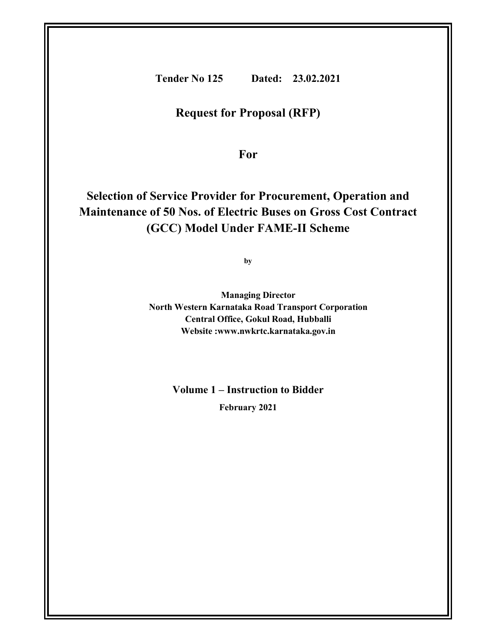Tender No 125 Dated: 23.02.2021

# Request for Proposal (RFP)

For

# Selection of Service Provider for Procurement, Operation and Maintenance of 50 Nos. of Electric Buses on Gross Cost Contract (GCC) Model Under FAME-II Scheme

by

Managing Director North Western Karnataka Road Transport Corporation Central Office, Gokul Road, Hubballi Website :www.nwkrtc.karnataka.gov.in

Volume 1 – Instruction to Bidder

February 2021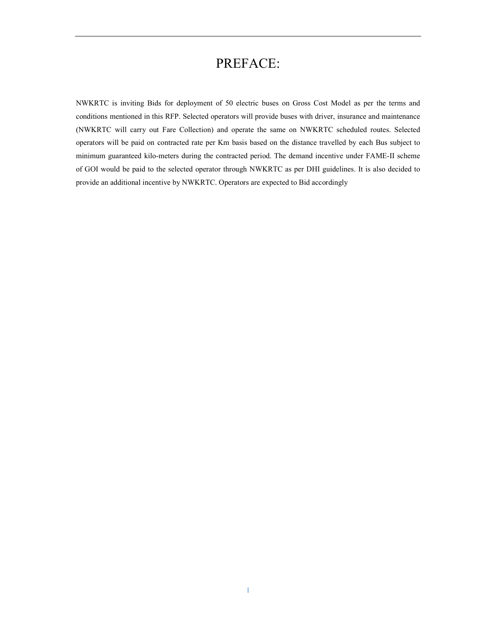# PREFACE:

NWKRTC is inviting Bids for deployment of 50 electric buses on Gross Cost Model as per the terms and conditions mentioned in this RFP. Selected operators will provide buses with driver, insurance and maintenance (NWKRTC will carry out Fare Collection) and operate the same on NWKRTC scheduled routes. Selected operators will be paid on contracted rate per Km basis based on the distance travelled by each Bus subject to minimum guaranteed kilo-meters during the contracted period. The demand incentive under FAME-II scheme of GOI would be paid to the selected operator through NWKRTC as per DHI guidelines. It is also decided to provide an additional incentive by NWKRTC. Operators are expected to Bid accordingly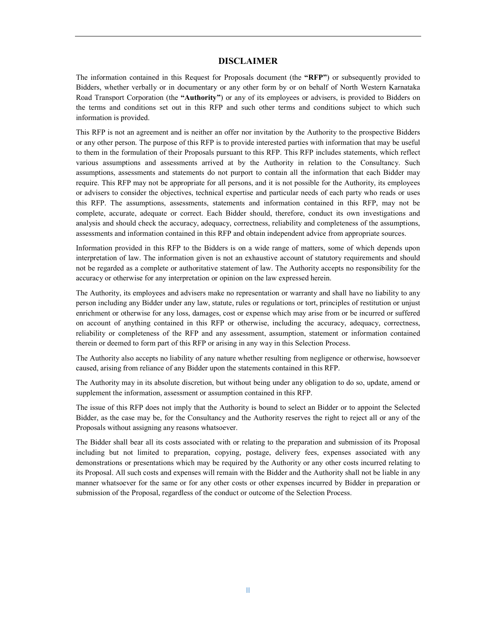### DISCLAIMER

The information contained in this Request for Proposals document (the "RFP") or subsequently provided to Bidders, whether verbally or in documentary or any other form by or on behalf of North Western Karnataka Road Transport Corporation (the "Authority") or any of its employees or advisers, is provided to Bidders on the terms and conditions set out in this RFP and such other terms and conditions subject to which such information is provided.

This RFP is not an agreement and is neither an offer nor invitation by the Authority to the prospective Bidders or any other person. The purpose of this RFP is to provide interested parties with information that may be useful to them in the formulation of their Proposals pursuant to this RFP. This RFP includes statements, which reflect various assumptions and assessments arrived at by the Authority in relation to the Consultancy. Such assumptions, assessments and statements do not purport to contain all the information that each Bidder may require. This RFP may not be appropriate for all persons, and it is not possible for the Authority, its employees or advisers to consider the objectives, technical expertise and particular needs of each party who reads or uses this RFP. The assumptions, assessments, statements and information contained in this RFP, may not be complete, accurate, adequate or correct. Each Bidder should, therefore, conduct its own investigations and analysis and should check the accuracy, adequacy, correctness, reliability and completeness of the assumptions, assessments and information contained in this RFP and obtain independent advice from appropriate sources.

Information provided in this RFP to the Bidders is on a wide range of matters, some of which depends upon interpretation of law. The information given is not an exhaustive account of statutory requirements and should not be regarded as a complete or authoritative statement of law. The Authority accepts no responsibility for the accuracy or otherwise for any interpretation or opinion on the law expressed herein.

The Authority, its employees and advisers make no representation or warranty and shall have no liability to any person including any Bidder under any law, statute, rules or regulations or tort, principles of restitution or unjust enrichment or otherwise for any loss, damages, cost or expense which may arise from or be incurred or suffered on account of anything contained in this RFP or otherwise, including the accuracy, adequacy, correctness, reliability or completeness of the RFP and any assessment, assumption, statement or information contained therein or deemed to form part of this RFP or arising in any way in this Selection Process.

The Authority also accepts no liability of any nature whether resulting from negligence or otherwise, howsoever caused, arising from reliance of any Bidder upon the statements contained in this RFP.

The Authority may in its absolute discretion, but without being under any obligation to do so, update, amend or supplement the information, assessment or assumption contained in this RFP.

The issue of this RFP does not imply that the Authority is bound to select an Bidder or to appoint the Selected Bidder, as the case may be, for the Consultancy and the Authority reserves the right to reject all or any of the Proposals without assigning any reasons whatsoever.

The Bidder shall bear all its costs associated with or relating to the preparation and submission of its Proposal including but not limited to preparation, copying, postage, delivery fees, expenses associated with any demonstrations or presentations which may be required by the Authority or any other costs incurred relating to its Proposal. All such costs and expenses will remain with the Bidder and the Authority shall not be liable in any manner whatsoever for the same or for any other costs or other expenses incurred by Bidder in preparation or submission of the Proposal, regardless of the conduct or outcome of the Selection Process.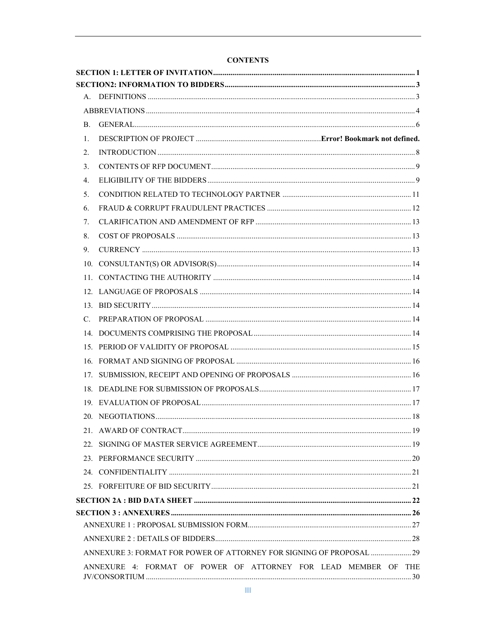# **CONTENTS**

| $\mathbf{B}$ .                  |                                                                      |  |
|---------------------------------|----------------------------------------------------------------------|--|
| 1.                              |                                                                      |  |
| 2.                              |                                                                      |  |
| 3.                              |                                                                      |  |
| 4 <sub>1</sub>                  |                                                                      |  |
| 5 <sub>1</sub>                  |                                                                      |  |
| 6.                              |                                                                      |  |
| $7_{\scriptscriptstyle{\circ}}$ |                                                                      |  |
| 8.                              |                                                                      |  |
| 9.                              |                                                                      |  |
|                                 |                                                                      |  |
|                                 |                                                                      |  |
|                                 |                                                                      |  |
|                                 |                                                                      |  |
| $C_{\cdot}$                     |                                                                      |  |
|                                 |                                                                      |  |
|                                 |                                                                      |  |
|                                 |                                                                      |  |
|                                 |                                                                      |  |
|                                 |                                                                      |  |
|                                 |                                                                      |  |
|                                 |                                                                      |  |
|                                 |                                                                      |  |
|                                 |                                                                      |  |
|                                 |                                                                      |  |
|                                 |                                                                      |  |
|                                 |                                                                      |  |
|                                 |                                                                      |  |
|                                 |                                                                      |  |
|                                 |                                                                      |  |
|                                 |                                                                      |  |
|                                 | ANNEXURE 3: FORMAT FOR POWER OF ATTORNEY FOR SIGNING OF PROPOSAL  29 |  |
|                                 | ANNEXURE 4: FORMAT OF POWER OF ATTORNEY FOR LEAD MEMBER OF THE       |  |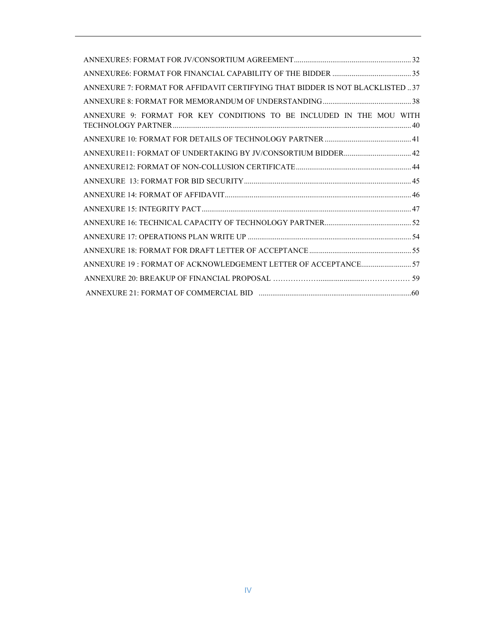| ANNEXURE 7: FORMAT FOR AFFIDAVIT CERTIFYING THAT BIDDER IS NOT BLACKLISTED37 |  |
|------------------------------------------------------------------------------|--|
|                                                                              |  |
| ANNEXURE 9: FORMAT FOR KEY CONDITIONS TO BE INCLUDED IN THE MOU WITH         |  |
|                                                                              |  |
| ANNEXURE11: FORMAT OF UNDERTAKING BY JV/CONSORTIUM BIDDER 42                 |  |
|                                                                              |  |
|                                                                              |  |
|                                                                              |  |
|                                                                              |  |
|                                                                              |  |
|                                                                              |  |
|                                                                              |  |
| ANNEXURE 19 : FORMAT OF ACKNOWLEDGEMENT LETTER OF ACCEPTANCE 57              |  |
|                                                                              |  |
|                                                                              |  |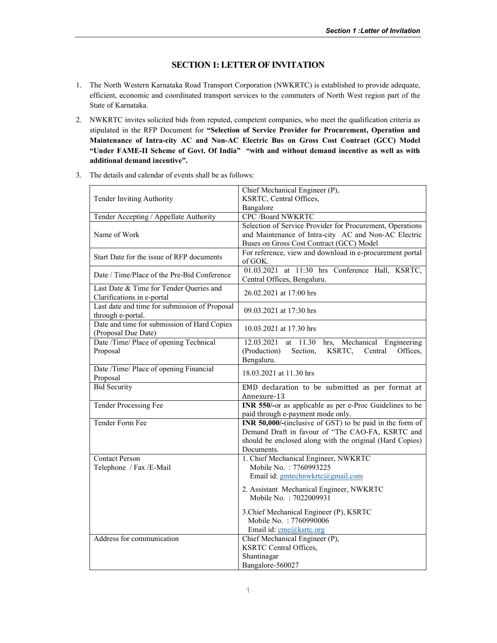# SECTION 1:LETTER OF INVITATION

- 1. The North Western Karnataka Road Transport Corporation (NWKRTC) is established to provide adequate, efficient, economic and coordinated transport services to the commuters of North West region part of the State of Karnataka.
- 2. NWKRTC invites solicited bids from reputed, competent companies, who meet the qualification criteria as stipulated in the RFP Document for "Selection of Service Provider for Procurement, Operation and Maintenance of Intra-city AC and Non-AC Electric Bus on Gross Cost Contract (GCC) Model "Under FAME-II Scheme of Govt. Of India" "with and without demand incentive as well as with additional demand incentive".

|                                                                    | Chief Mechanical Engineer (P),                                   |  |
|--------------------------------------------------------------------|------------------------------------------------------------------|--|
| Tender Inviting Authority                                          | KSRTC, Central Offices,                                          |  |
|                                                                    | Bangalore                                                        |  |
| Tender Accepting / Appellate Authority                             | <b>CPC /Board NWKRTC</b>                                         |  |
|                                                                    | Selection of Service Provider for Procurement, Operations        |  |
| Name of Work                                                       | and Maintenance of Intra-city AC and Non-AC Electric             |  |
|                                                                    | Buses on Gross Cost Contract (GCC) Model                         |  |
| Start Date for the issue of RFP documents                          | For reference, view and download in e-procurement portal         |  |
|                                                                    | of GOK.                                                          |  |
| Date / Time/Place of the Pre-Bid Conference                        | at 11:30 hrs Conference Hall, KSRTC,<br>01.03.2021               |  |
|                                                                    | Central Offices, Bengaluru.                                      |  |
| Last Date & Time for Tender Queries and                            | 26.02.2021 at 17:00 hrs                                          |  |
| Clarifications in e-portal                                         |                                                                  |  |
| Last date and time for submission of Proposal<br>through e-portal. | 09.03.2021 at 17:30 hrs                                          |  |
| Date and time for submission of Hard Copies                        |                                                                  |  |
| (Proposal Due Date)                                                | 10.03.2021 at 17.30 hrs                                          |  |
| Date /Time/ Place of opening Technical                             | 12.03.2021<br>at 11.30<br>hrs, Mechanical Engineering            |  |
| Proposal                                                           | (Production)<br>Section,<br>KSRTC,<br>Offices,<br>Central        |  |
|                                                                    | Bengaluru.                                                       |  |
| Date /Time/ Place of opening Financial                             |                                                                  |  |
| Proposal                                                           | 18.03.2021 at 11.30 hrs                                          |  |
| <b>Bid Security</b>                                                | EMD declaration to be submitted as per format at                 |  |
|                                                                    | Annexure-13                                                      |  |
| Tender Processing Fee                                              | INR 550/-or as applicable as per e-Proc Guidelines to be         |  |
|                                                                    | paid through e-payment mode only.                                |  |
| Tender Form Fee                                                    | <b>INR 50,000/-</b> (inclusive of GST) to be paid in the form of |  |
|                                                                    | Demand Draft in favour of "The CAO-FA, KSRTC and                 |  |
|                                                                    | should be enclosed along with the original (Hard Copies)         |  |
|                                                                    | Documents.                                                       |  |
| <b>Contact Person</b><br>Telephone / Fax /E-Mail                   | 1. Chief Mechanical Engineer, NWKRTC<br>Mobile No.: 7760993225   |  |
|                                                                    | Email id: gmtechnwkrtc@gmail.com                                 |  |
|                                                                    |                                                                  |  |
|                                                                    | 2. Assistant Mechanical Engineer, NWKRTC                         |  |
|                                                                    | Mobile No. : 7022009931                                          |  |
|                                                                    | 3. Chief Mechanical Engineer (P), KSRTC                          |  |
|                                                                    | Mobile No. : 7760990006                                          |  |
|                                                                    | Email id: cme@ksrtc.org                                          |  |
| Address for communication                                          | Chief Mechanical Engineer (P),                                   |  |
|                                                                    | <b>KSRTC Central Offices,</b>                                    |  |
|                                                                    | Shantinagar                                                      |  |
|                                                                    | Bangalore-560027                                                 |  |

3. The details and calendar of events shall be as follows: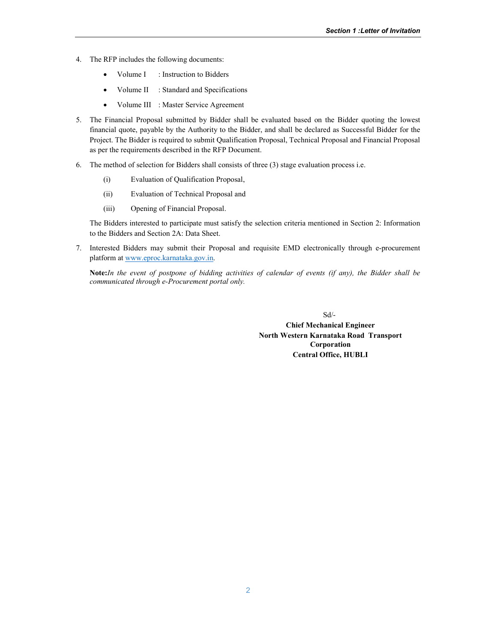- 4. The RFP includes the following documents:
	- Volume I : Instruction to Bidders
	- Volume II : Standard and Specifications
	- Volume III : Master Service Agreement
- 5. The Financial Proposal submitted by Bidder shall be evaluated based on the Bidder quoting the lowest financial quote, payable by the Authority to the Bidder, and shall be declared as Successful Bidder for the Project. The Bidder is required to submit Qualification Proposal, Technical Proposal and Financial Proposal as per the requirements described in the RFP Document.
- 6. The method of selection for Bidders shall consists of three (3) stage evaluation process i.e.
	- (i) Evaluation of Qualification Proposal,
	- (ii) Evaluation of Technical Proposal and
	- (iii) Opening of Financial Proposal.

The Bidders interested to participate must satisfy the selection criteria mentioned in Section 2: Information to the Bidders and Section 2A: Data Sheet.

7. Interested Bidders may submit their Proposal and requisite EMD electronically through e-procurement platform at www.eproc.karnataka.gov.in.

Note:*In the event of postpone of bidding activities of calendar of events (if any), the Bidder shall be communicated through e-Procurement portal only.*

> Sd/- Chief Mechanical Engineer North Western Karnataka Road Transport Corporation Central Office, HUBLI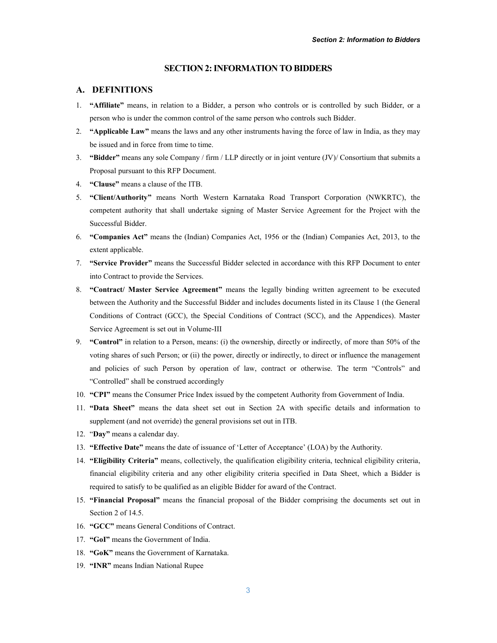### SECTION 2: INFORMATION TO BIDDERS

# A. DEFINITIONS

- 1. "Affiliate" means, in relation to a Bidder, a person who controls or is controlled by such Bidder, or a person who is under the common control of the same person who controls such Bidder.
- 2. "Applicable Law" means the laws and any other instruments having the force of law in India, as they may be issued and in force from time to time.
- 3. "Bidder" means any sole Company / firm / LLP directly or in joint venture  $J/V$ / Consortium that submits a Proposal pursuant to this RFP Document.
- 4. "Clause" means a clause of the ITB.
- 5. "Client/Authority" means North Western Karnataka Road Transport Corporation (NWKRTC), the competent authority that shall undertake signing of Master Service Agreement for the Project with the Successful Bidder.
- 6. "Companies Act" means the (Indian) Companies Act, 1956 or the (Indian) Companies Act, 2013, to the extent applicable.
- 7. "Service Provider" means the Successful Bidder selected in accordance with this RFP Document to enter into Contract to provide the Services.
- 8. "Contract/ Master Service Agreement" means the legally binding written agreement to be executed between the Authority and the Successful Bidder and includes documents listed in its Clause 1 (the General Conditions of Contract (GCC), the Special Conditions of Contract (SCC), and the Appendices). Master Service Agreement is set out in Volume-III
- 9. "Control" in relation to a Person, means: (i) the ownership, directly or indirectly, of more than 50% of the voting shares of such Person; or (ii) the power, directly or indirectly, to direct or influence the management and policies of such Person by operation of law, contract or otherwise. The term "Controls" and "Controlled" shall be construed accordingly
- 10. "CPI" means the Consumer Price Index issued by the competent Authority from Government of India.
- 11. "Data Sheet" means the data sheet set out in Section 2A with specific details and information to supplement (and not override) the general provisions set out in ITB.
- 12. "Day" means a calendar day.
- 13. "Effective Date" means the date of issuance of 'Letter of Acceptance' (LOA) by the Authority.
- 14. "Eligibility Criteria" means, collectively, the qualification eligibility criteria, technical eligibility criteria, financial eligibility criteria and any other eligibility criteria specified in Data Sheet, which a Bidder is required to satisfy to be qualified as an eligible Bidder for award of the Contract.
- 15. "Financial Proposal" means the financial proposal of the Bidder comprising the documents set out in Section 2 of 14.5.
- 16. "GCC" means General Conditions of Contract.
- 17. "GoI" means the Government of India.
- 18. "GoK" means the Government of Karnataka.
- 19. "INR" means Indian National Rupee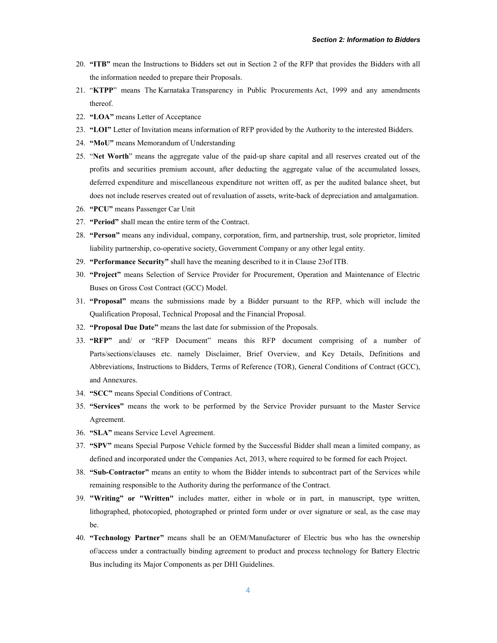- 20. "ITB" mean the Instructions to Bidders set out in Section 2 of the RFP that provides the Bidders with all the information needed to prepare their Proposals.
- 21. "KTPP" means The Karnataka Transparency in Public Procurements Act, 1999 and any amendments thereof.
- 22. "LOA" means Letter of Acceptance
- 23. "LOI" Letter of Invitation means information of RFP provided by the Authority to the interested Bidders.
- 24. "MoU" means Memorandum of Understanding
- 25. "Net Worth" means the aggregate value of the paid-up share capital and all reserves created out of the profits and securities premium account, after deducting the aggregate value of the accumulated losses, deferred expenditure and miscellaneous expenditure not written off, as per the audited balance sheet, but does not include reserves created out of revaluation of assets, write-back of depreciation and amalgamation.
- 26. "PCU" means Passenger Car Unit
- 27. "Period" shall mean the entire term of the Contract.
- 28. "Person" means any individual, company, corporation, firm, and partnership, trust, sole proprietor, limited liability partnership, co-operative society, Government Company or any other legal entity.
- 29. "Performance Security" shall have the meaning described to it in Clause 23of ITB.
- 30. "Project" means Selection of Service Provider for Procurement, Operation and Maintenance of Electric Buses on Gross Cost Contract (GCC) Model.
- 31. "Proposal" means the submissions made by a Bidder pursuant to the RFP, which will include the Qualification Proposal, Technical Proposal and the Financial Proposal.
- 32. "Proposal Due Date" means the last date for submission of the Proposals.
- 33. "RFP" and/ or "RFP Document" means this RFP document comprising of a number of Parts/sections/clauses etc. namely Disclaimer, Brief Overview, and Key Details, Definitions and Abbreviations, Instructions to Bidders, Terms of Reference (TOR), General Conditions of Contract (GCC), and Annexures.
- 34. "SCC" means Special Conditions of Contract.
- 35. "Services" means the work to be performed by the Service Provider pursuant to the Master Service Agreement.
- 36. "SLA" means Service Level Agreement.
- 37. "SPV" means Special Purpose Vehicle formed by the Successful Bidder shall mean a limited company, as defined and incorporated under the Companies Act, 2013, where required to be formed for each Project.
- 38. "Sub-Contractor" means an entity to whom the Bidder intends to subcontract part of the Services while remaining responsible to the Authority during the performance of the Contract.
- 39. "Writing" or "Written" includes matter, either in whole or in part, in manuscript, type written, lithographed, photocopied, photographed or printed form under or over signature or seal, as the case may be.
- 40. "Technology Partner" means shall be an OEM/Manufacturer of Electric bus who has the ownership of/access under a contractually binding agreement to product and process technology for Battery Electric Bus including its Major Components as per DHI Guidelines.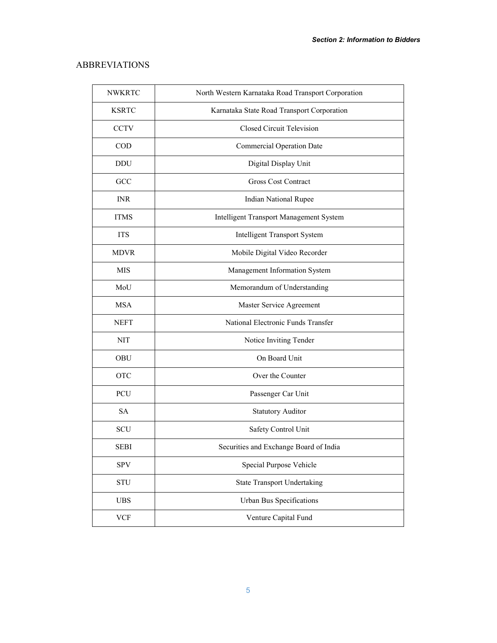# ABBREVIATIONS

| <b>NWKRTC</b> | North Western Karnataka Road Transport Corporation |
|---------------|----------------------------------------------------|
| <b>KSRTC</b>  | Karnataka State Road Transport Corporation         |
| <b>CCTV</b>   | <b>Closed Circuit Television</b>                   |
| $\rm COD$     | <b>Commercial Operation Date</b>                   |
| <b>DDU</b>    | Digital Display Unit                               |
| GCC           | <b>Gross Cost Contract</b>                         |
| <b>INR</b>    | <b>Indian National Rupee</b>                       |
| <b>ITMS</b>   | Intelligent Transport Management System            |
| <b>ITS</b>    | <b>Intelligent Transport System</b>                |
| <b>MDVR</b>   | Mobile Digital Video Recorder                      |
| <b>MIS</b>    | Management Information System                      |
| MoU           | Memorandum of Understanding                        |
| <b>MSA</b>    | Master Service Agreement                           |
| <b>NEFT</b>   | National Electronic Funds Transfer                 |
| <b>NIT</b>    | Notice Inviting Tender                             |
| OBU           | On Board Unit                                      |
| <b>OTC</b>    | Over the Counter                                   |
| PCU           | Passenger Car Unit                                 |
| <b>SA</b>     | <b>Statutory Auditor</b>                           |
| <b>SCU</b>    | Safety Control Unit                                |
| <b>SEBI</b>   | Securities and Exchange Board of India             |
| <b>SPV</b>    | Special Purpose Vehicle                            |
| <b>STU</b>    | <b>State Transport Undertaking</b>                 |
| <b>UBS</b>    | Urban Bus Specifications                           |
| <b>VCF</b>    | Venture Capital Fund                               |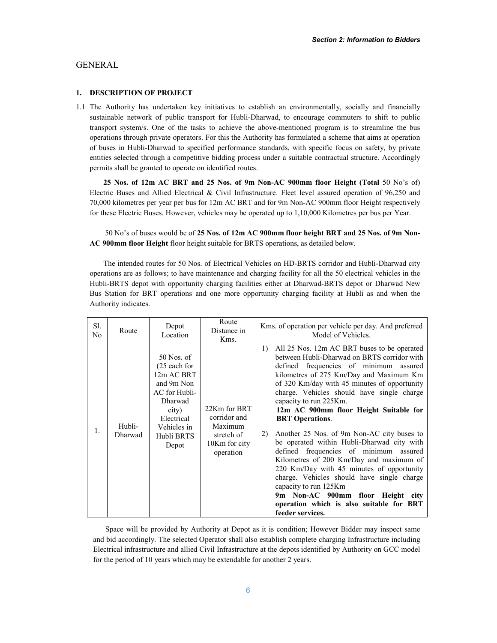# GENERAL

### 1. DESCRIPTION OF PROJECT

1.1 The Authority has undertaken key initiatives to establish an environmentally, socially and financially sustainable network of public transport for Hubli-Dharwad, to encourage commuters to shift to public transport system/s. One of the tasks to achieve the above-mentioned program is to streamline the bus operations through private operators. For this the Authority has formulated a scheme that aims at operation of buses in Hubli-Dharwad to specified performance standards, with specific focus on safety, by private entities selected through a competitive bidding process under a suitable contractual structure. Accordingly permits shall be granted to operate on identified routes.

25 Nos. of 12m AC BRT and 25 Nos. of 9m Non-AC 900mm floor Height (Total 50 No's of) Electric Buses and Allied Electrical & Civil Infrastructure. Fleet level assured operation of 96,250 and 70,000 kilometres per year per bus for 12m AC BRT and for 9m Non-AC 900mm floor Height respectively for these Electric Buses. However, vehicles may be operated up to 1,10,000 Kilometres per bus per Year.

 50 No's of buses would be of 25 Nos. of 12m AC 900mm floor height BRT and 25 Nos. of 9m Non-AC 900mm floor Height floor height suitable for BRTS operations, as detailed below.

The intended routes for 50 Nos. of Electrical Vehicles on HD-BRTS corridor and Hubli-Dharwad city operations are as follows; to have maintenance and charging facility for all the 50 electrical vehicles in the Hubli-BRTS depot with opportunity charging facilities either at Dharwad-BRTS depot or Dharwad New Bus Station for BRT operations and one more opportunity charging facility at Hubli as and when the Authority indicates.

| Sl.<br>No | Route             | Depot<br>Location                                                                                                                                 | Route<br>Distance in<br>Kms.                                                        | Kms. of operation per vehicle per day. And preferred<br>Model of Vehicles.                                                                                                                                                                                                                                                                                                                                                                                                                                                                                                                                                                                                                                                                                                                        |
|-----------|-------------------|---------------------------------------------------------------------------------------------------------------------------------------------------|-------------------------------------------------------------------------------------|---------------------------------------------------------------------------------------------------------------------------------------------------------------------------------------------------------------------------------------------------------------------------------------------------------------------------------------------------------------------------------------------------------------------------------------------------------------------------------------------------------------------------------------------------------------------------------------------------------------------------------------------------------------------------------------------------------------------------------------------------------------------------------------------------|
| 1.        | Hubli-<br>Dharwad | $50$ Nos. of<br>(25 each for<br>12m AC BRT<br>and 9m Non<br>AC for Hubli-<br>Dharwad<br>city)<br>Electrical<br>Vehicles in<br>Hubli BRTS<br>Depot | 22Km for BRT<br>corridor and<br>Maximum<br>stretch of<br>10Km for city<br>operation | All 25 Nos. 12m AC BRT buses to be operated<br>1)<br>between Hubli-Dharwad on BRTS corridor with<br>defined frequencies of minimum assured<br>kilometres of 275 Km/Day and Maximum Km<br>of 320 Km/day with 45 minutes of opportunity<br>charge. Vehicles should have single charge<br>capacity to run 225Km.<br>12m AC 900mm floor Height Suitable for<br><b>BRT</b> Operations.<br>Another 25 Nos. of 9m Non-AC city buses to<br>2)<br>be operated within Hubli-Dharwad city with<br>defined frequencies of minimum assured<br>Kilometres of 200 Km/Day and maximum of<br>220 Km/Day with 45 minutes of opportunity<br>charge. Vehicles should have single charge<br>capacity to run 125Km<br>9m Non-AC 900mm floor Height city<br>operation which is also suitable for BRT<br>feeder services. |

 Space will be provided by Authority at Depot as it is condition; However Bidder may inspect same and bid accordingly. The selected Operator shall also establish complete charging Infrastructure including Electrical infrastructure and allied Civil Infrastructure at the depots identified by Authority on GCC model for the period of 10 years which may be extendable for another 2 years.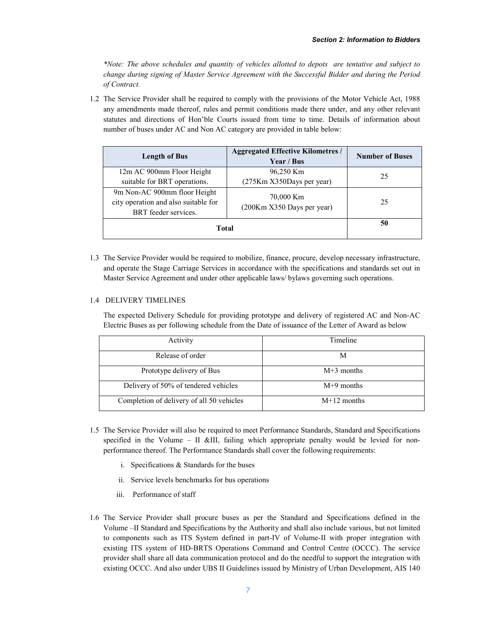*\*Note: The above schedules and quantity of vehicles allotted to depots are tentative and subject to change during signing of Master Service Agreement with the Successful Bidder and during the Period of Contract.*

1.2 The Service Provider shall be required to comply with the provisions of the Motor Vehicle Act, 1988 any amendments made thereof, rules and permit conditions made there under, and any other relevant statutes and directions of Hon'ble Courts issued from time to time. Details of information about number of buses under AC and Non AC category are provided in table below:

| <b>Length of Bus</b>                                                                         | <b>Aggregated Effective Kilometres /</b><br>Year / Bus | <b>Number of Buses</b> |
|----------------------------------------------------------------------------------------------|--------------------------------------------------------|------------------------|
| 12m AC 900mm Floor Height                                                                    | 96,250 Km                                              | 25                     |
| suitable for BRT operations.                                                                 | (275Km X350Days per year)                              |                        |
| 9m Non-AC 900mm floor Height<br>city operation and also suitable for<br>BRT feeder services. | 70,000 Km<br>(200Km X350 Days per year)                | 25                     |
| Total                                                                                        |                                                        | 50                     |

1.3 The Service Provider would be required to mobilize, finance, procure, develop necessary infrastructure, and operate the Stage Carriage Services in accordance with the specifications and standards set out in Master Service Agreement and under other applicable laws/ bylaws governing such operations.

# 1.4 DELIVERY TIMELINES

The expected Delivery Schedule for providing prototype and delivery of registered AC and Non-AC Electric Buses as per following schedule from the Date of issuance of the Letter of Award as below

| Activity                                  | Timeline      |
|-------------------------------------------|---------------|
| Release of order                          | M             |
| Prototype delivery of Bus                 | $M+3$ months  |
| Delivery of 50% of tendered vehicles      | $M+9$ months  |
| Completion of delivery of all 50 vehicles | $M+12$ months |

- 1.5 The Service Provider will also be required to meet Performance Standards, Standard and Specifications specified in the Volume – II &III, failing which appropriate penalty would be levied for nonperformance thereof. The Performance Standards shall cover the following requirements:
	- i. Specifications & Standards for the buses
	- ii. Service levels benchmarks for bus operations
	- iii. Performance of staff
- 1.6 The Service Provider shall procure buses as per the Standard and Specifications defined in the Volume –II Standard and Specifications by the Authority and shall also include various, but not limited to components such as ITS System defined in part-IV of Volume-II with proper integration with existing ITS system of HD-BRTS Operations Command and Control Centre (OCCC). The service provider shall share all data communication protocol and do the needful to support the integration with existing OCCC. And also under UBS II Guidelines issued by Ministry of Urban Development, AIS 140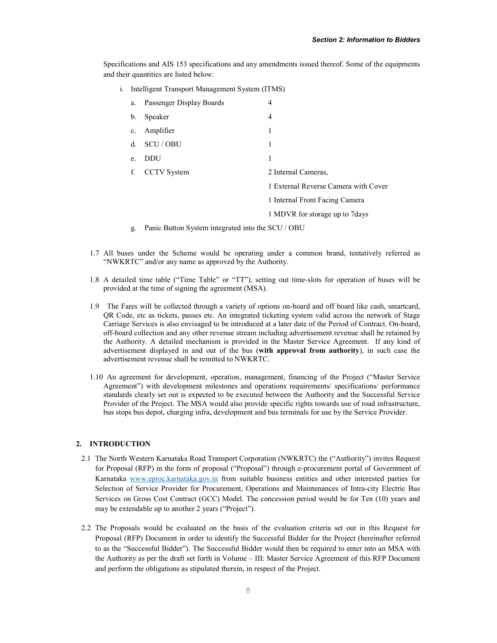Specifications and AIS 153 specifications and any amendments issued thereof. Some of the equipments and their quantities are listed below:

i. Intelligent Transport Management System (ITMS)

| a.             | Passenger Display Boards | 4                                    |
|----------------|--------------------------|--------------------------------------|
| $\mathbf{b}$ . | Speaker                  | 4                                    |
| $c_{\cdot}$    | Amplifier                | 1                                    |
| $d_{-}$        | SCU / OBU                | 1                                    |
| e <sub>1</sub> | DDU                      | 1                                    |
| f.             | <b>CCTV</b> System       | 2 Internal Cameras.                  |
|                |                          | 1 External Reverse Camera with Cover |
|                |                          | 1 Internal Front Facing Camera       |
|                |                          | 1 MDVR for storage up to 7days       |

- g. Panic Button System integrated into the SCU / OBU
- 1.7 All buses under the Scheme would be operating under a common brand, tentatively referred as "NWKRTC" and/or any name as approved by the Authority.
- 1.8 A detailed time table ("Time Table" or "TT"), setting out time-slots for operation of buses will be provided at the time of signing the agreement (MSA).
- 1.9 The Fares will be collected through a variety of options on-board and off board like cash, smartcard, QR Code, etc as tickets, passes etc. An integrated ticketing system valid across the network of Stage Carriage Services is also envisaged to be introduced at a later date of the Period of Contract. On-board, off-board collection and any other revenue stream including advertisement revenue shall be retained by the Authority. A detailed mechanism is provided in the Master Service Agreement. If any kind of advertisement displayed in and out of the bus (with approval from authority), in such case the advertisement revenue shall be remitted to NWKRTC.
- 1.10 An agreement for development, operation, management, financing of the Project ("Master Service Agreement") with development milestones and operations requirements/ specifications/ performance standards clearly set out is expected to be executed between the Authority and the Successful Service Provider of the Project. The MSA would also provide specific rights towards use of road infrastructure, bus stops bus depot, charging infra, development and bus terminals for use by the Service Provider.

### 2. INTRODUCTION

- 2.1 The North Western Karnataka Road Transport Corporation (NWKRTC) the ("Authority") invites Request for Proposal (RFP) in the form of proposal ("Proposal") through e-procurement portal of Government of Karnataka www.eproc.karnataka.gov.in from suitable business entities and other interested parties for Selection of Service Provider for Procurement, Operations and Maintenances of Intra-city Electric Bus Services on Gross Cost Contract (GCC) Model. The concession period would be for Ten (10) years and may be extendable up to another 2 years ("Project").
- 2.2 The Proposals would be evaluated on the basis of the evaluation criteria set out in this Request for Proposal (RFP) Document in order to identify the Successful Bidder for the Project (hereinafter referred to as the "Successful Bidder"). The Successful Bidder would then be required to enter into an MSA with the Authority as per the draft set forth in Volume – III: Master Service Agreement of this RFP Document and perform the obligations as stipulated therein, in respect of the Project.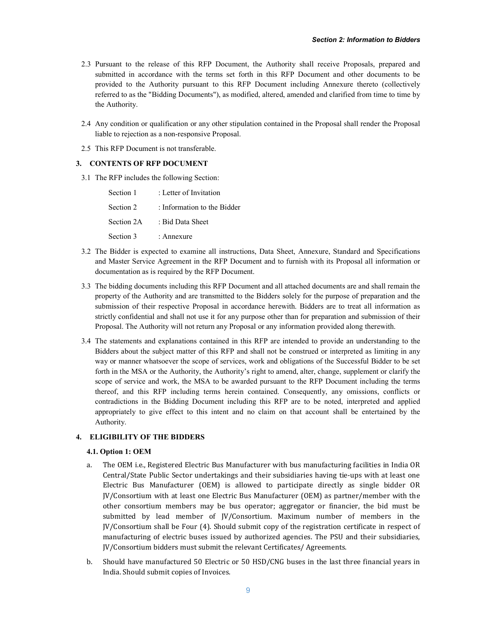- 2.3 Pursuant to the release of this RFP Document, the Authority shall receive Proposals, prepared and submitted in accordance with the terms set forth in this RFP Document and other documents to be provided to the Authority pursuant to this RFP Document including Annexure thereto (collectively referred to as the "Bidding Documents"), as modified, altered, amended and clarified from time to time by the Authority.
- 2.4 Any condition or qualification or any other stipulation contained in the Proposal shall render the Proposal liable to rejection as a non-responsive Proposal.
- 2.5 This RFP Document is not transferable.

### 3. CONTENTS OF RFP DOCUMENT

3.1 The RFP includes the following Section:

| Section 1  | : Letter of Invitation      |
|------------|-----------------------------|
| Section 2  | : Information to the Bidder |
| Section 2A | : Bid Data Sheet            |
| Section 3  | : Annexure                  |

- 3.2 The Bidder is expected to examine all instructions, Data Sheet, Annexure, Standard and Specifications and Master Service Agreement in the RFP Document and to furnish with its Proposal all information or documentation as is required by the RFP Document.
- 3.3 The bidding documents including this RFP Document and all attached documents are and shall remain the property of the Authority and are transmitted to the Bidders solely for the purpose of preparation and the submission of their respective Proposal in accordance herewith. Bidders are to treat all information as strictly confidential and shall not use it for any purpose other than for preparation and submission of their Proposal. The Authority will not return any Proposal or any information provided along therewith.
- 3.4 The statements and explanations contained in this RFP are intended to provide an understanding to the Bidders about the subject matter of this RFP and shall not be construed or interpreted as limiting in any way or manner whatsoever the scope of services, work and obligations of the Successful Bidder to be set forth in the MSA or the Authority, the Authority's right to amend, alter, change, supplement or clarify the scope of service and work, the MSA to be awarded pursuant to the RFP Document including the terms thereof, and this RFP including terms herein contained. Consequently, any omissions, conflicts or contradictions in the Bidding Document including this RFP are to be noted, interpreted and applied appropriately to give effect to this intent and no claim on that account shall be entertained by the Authority.

### 4. ELIGIBILITY OF THE BIDDERS

### 4.1. Option 1: OEM

- a. The OEM i.e., Registered Electric Bus Manufacturer with bus manufacturing facilities in India OR Central/State Public Sector undertakings and their subsidiaries having tie-ups with at least one Electric Bus Manufacturer (OEM) is allowed to participate directly as single bidder OR JV/Consortium with at least one Electric Bus Manufacturer (OEM) as partner/member with the other consortium members may be bus operator; aggregator or financier, the bid must be submitted by lead member of JV/Consortium. Maximum number of members in the JV/Consortium shall be Four (4). Should submit copy of the registration certificate in respect of manufacturing of electric buses issued by authorized agencies. The PSU and their subsidiaries, JV/Consortium bidders must submit the relevant Certificates/ Agreements.
- b. Should have manufactured 50 Electric or 50 HSD/CNG buses in the last three financial years in India. Should submit copies of Invoices.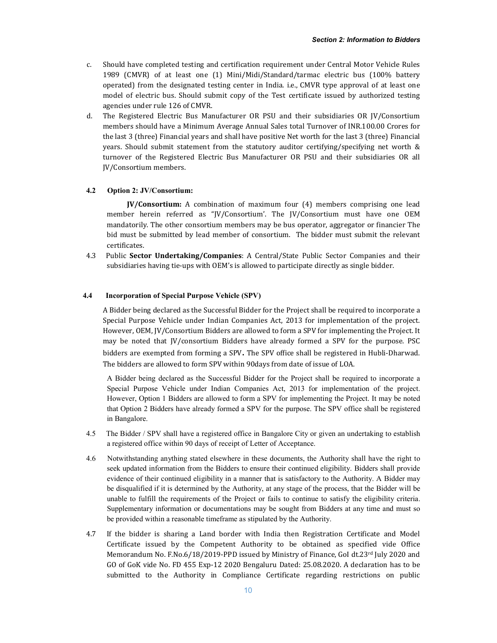- c. Should have completed testing and certification requirement under Central Motor Vehicle Rules 1989 (CMVR) of at least one (1) Mini/Midi/Standard/tarmac electric bus (100% battery operated) from the designated testing center in India. i.e., CMVR type approval of at least one model of electric bus. Should submit copy of the Test certificate issued by authorized testing agencies under rule 126 of CMVR.
- d. The Registered Electric Bus Manufacturer OR PSU and their subsidiaries OR JV/Consortium members should have a Minimum Average Annual Sales total Turnover of INR.100.00 Crores for the last 3 (three) Financial years and shall have positive Net worth for the last 3 (three) Financial years. Should submit statement from the statutory auditor certifying/specifying net worth & turnover of the Registered Electric Bus Manufacturer OR PSU and their subsidiaries OR all JV/Consortium members.

#### 4.2 Option 2: JV/Consortium:

 JV/Consortium: A combination of maximum four (4) members comprising one lead member herein referred as "JV/Consortium'. The JV/Consortium must have one OEM mandatorily. The other consortium members may be bus operator, aggregator or financier The bid must be submitted by lead member of consortium. The bidder must submit the relevant certificates.

4.3 Public Sector Undertaking/Companies: A Central/State Public Sector Companies and their subsidiaries having tie-ups with OEM's is allowed to participate directly as single bidder.

### 4.4 Incorporation of Special Purpose Vehicle (SPV)

A Bidder being declared as the Successful Bidder for the Project shall be required to incorporate a Special Purpose Vehicle under Indian Companies Act, 2013 for implementation of the project. However, OEM, JV/Consortium Bidders are allowed to form a SPV for implementing the Project. It may be noted that JV/consortium Bidders have already formed a SPV for the purpose. PSC bidders are exempted from forming a SPV. The SPV office shall be registered in Hubli-Dharwad. The bidders are allowed to form SPV within 90days from date of issue of LOA.

A Bidder being declared as the Successful Bidder for the Project shall be required to incorporate a Special Purpose Vehicle under Indian Companies Act, 2013 for implementation of the project. However, Option 1 Bidders are allowed to form a SPV for implementing the Project. It may be noted that Option 2 Bidders have already formed a SPV for the purpose. The SPV office shall be registered in Bangalore.

- 4.5 The Bidder / SPV shall have a registered office in Bangalore City or given an undertaking to establish a registered office within 90 days of receipt of Letter of Acceptance.
- 4.6 Notwithstanding anything stated elsewhere in these documents, the Authority shall have the right to seek updated information from the Bidders to ensure their continued eligibility. Bidders shall provide evidence of their continued eligibility in a manner that is satisfactory to the Authority. A Bidder may be disqualified if it is determined by the Authority, at any stage of the process, that the Bidder will be unable to fulfill the requirements of the Project or fails to continue to satisfy the eligibility criteria. Supplementary information or documentations may be sought from Bidders at any time and must so be provided within a reasonable timeframe as stipulated by the Authority.
- 4.7 If the bidder is sharing a Land border with India then Registration Certificate and Model Certificate issued by the Competent Authority to be obtained as specified vide Office Memorandum No. F.No.6/18/2019-PPD issued by Ministry of Finance, GoI dt.23rd July 2020 and GO of GoK vide No. FD 455 Exp-12 2020 Bengaluru Dated: 25.08.2020. A declaration has to be submitted to the Authority in Compliance Certificate regarding restrictions on public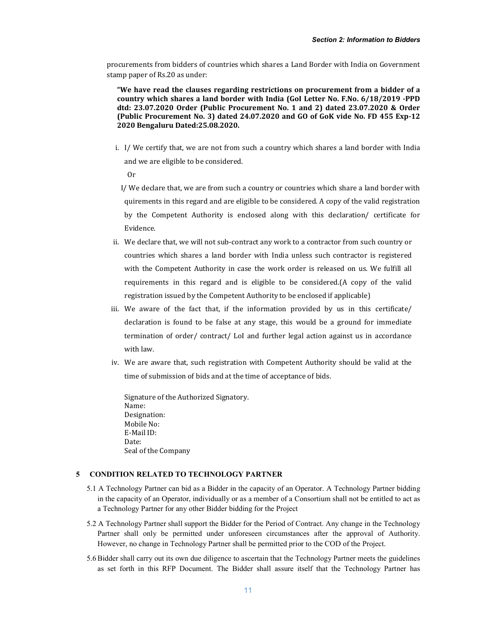procurements from bidders of countries which shares a Land Border with India on Government stamp paper of Rs.20 as under:

"We have read the clauses regarding restrictions on procurement from a bidder of a country which shares a land border with India (GoI Letter No. F.No. 6/18/2019 -PPD dtd: 23.07.2020 Order (Public Procurement No. 1 and 2) dated 23.07.2020 & Order (Public Procurement No. 3) dated 24.07.2020 and GO of GoK vide No. FD 455 Exp-12 2020 Bengaluru Dated:25.08.2020.

i. I/ We certify that, we are not from such a country which shares a land border with India and we are eligible to be considered.

Or

- I/ We declare that, we are from such a country or countries which share a land border with quirements in this regard and are eligible to be considered. A copy of the valid registration by the Competent Authority is enclosed along with this declaration/ certificate for Evidence.
- ii. We declare that, we will not sub-contract any work to a contractor from such country or countries which shares a land border with India unless such contractor is registered with the Competent Authority in case the work order is released on us. We fulfill all requirements in this regard and is eligible to be considered.(A copy of the valid registration issued by the Competent Authority to be enclosed if applicable)
- iii. We aware of the fact that, if the information provided by us in this certificate/ declaration is found to be false at any stage, this would be a ground for immediate termination of order/ contract/ LoI and further legal action against us in accordance with law.
- iv. We are aware that, such registration with Competent Authority should be valid at the time of submission of bids and at the time of acceptance of bids.

Signature of the Authorized Signatory. Name: Designation: Mobile No: E-Mail ID: Date: Seal of the Company

# 5 CONDITION RELATED TO TECHNOLOGY PARTNER

- 5.1 A Technology Partner can bid as a Bidder in the capacity of an Operator. A Technology Partner bidding in the capacity of an Operator, individually or as a member of a Consortium shall not be entitled to act as a Technology Partner for any other Bidder bidding for the Project
- 5.2 A Technology Partner shall support the Bidder for the Period of Contract. Any change in the Technology Partner shall only be permitted under unforeseen circumstances after the approval of Authority. However, no change in Technology Partner shall be permitted prior to the COD of the Project.
- 5.6 Bidder shall carry out its own due diligence to ascertain that the Technology Partner meets the guidelines as set forth in this RFP Document. The Bidder shall assure itself that the Technology Partner has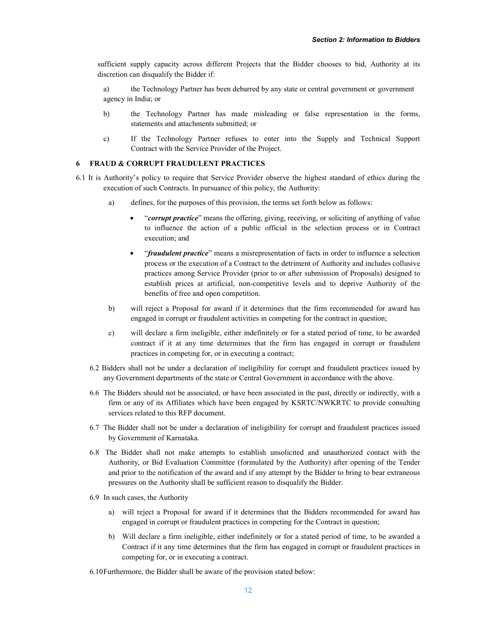sufficient supply capacity across different Projects that the Bidder chooses to bid, Authority at its discretion can disqualify the Bidder if:

- a) the Technology Partner has been debarred by any state or central government or government agency in India; or
- b) the Technology Partner has made misleading or false representation in the forms, statements and attachments submitted; or
- c) If the Technology Partner refuses to enter into the Supply and Technical Support Contract with the Service Provider of the Project.

# 6 FRAUD & CORRUPT FRAUDULENT PRACTICES

- 6.1 It is Authority's policy to require that Service Provider observe the highest standard of ethics during the execution of such Contracts. In pursuance of this policy, the Authority:
	- a) defines, for the purposes of this provision, the terms set forth below as follows:
		- "*corrupt practice*" means the offering, giving, receiving, or soliciting of anything of value to influence the action of a public official in the selection process or in Contract execution; and
		- "*fraudulent practice*" means a misrepresentation of facts in order to influence a selection process or the execution of a Contract to the detriment of Authority and includes collusive practices among Service Provider (prior to or after submission of Proposals) designed to establish prices at artificial, non-competitive levels and to deprive Authority of the benefits of free and open competition.
	- b) will reject a Proposal for award if it determines that the firm recommended for award has engaged in corrupt or fraudulent activities in competing for the contract in question;
	- c) will declare a firm ineligible, either indefinitely or for a stated period of time, to be awarded contract if it at any time determines that the firm has engaged in corrupt or fraudulent practices in competing for, or in executing a contract;
	- 6.2 Bidders shall not be under a declaration of ineligibility for corrupt and fraudulent practices issued by any Government departments of the state or Central Government in accordance with the above.
	- 6.6 The Bidders should not be associated, or have been associated in the past, directly or indirectly, with a firm or any of its Affiliates which have been engaged by KSRTC/NWKRTC to provide consulting services related to this RFP document.
	- 6.7 The Bidder shall not be under a declaration of ineligibility for corrupt and fraudulent practices issued by Government of Karnataka.
	- 6.8 The Bidder shall not make attempts to establish unsolicited and unauthorized contact with the Authority, or Bid Evaluation Committee (formulated by the Authority) after opening of the Tender and prior to the notification of the award and if any attempt by the Bidder to bring to bear extraneous pressures on the Authority shall be sufficient reason to disqualify the Bidder.
	- 6.9 In such cases, the Authority
		- a) will reject a Proposal for award if it determines that the Bidders recommended for award has engaged in corrupt or fraudulent practices in competing for the Contract in question;
		- b) Will declare a firm ineligible, either indefinitely or for a stated period of time, to be awarded a Contract if it any time determines that the firm has engaged in corrupt or fraudulent practices in competing for, or in executing a contract.
	- 6.10Furthermore, the Bidder shall be aware of the provision stated below: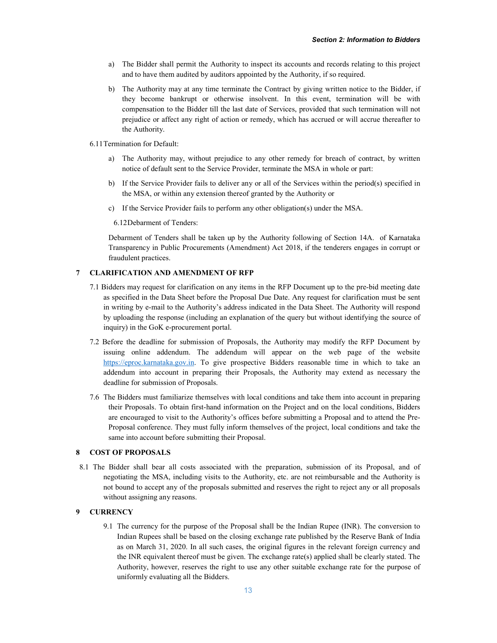- a) The Bidder shall permit the Authority to inspect its accounts and records relating to this project and to have them audited by auditors appointed by the Authority, if so required.
- b) The Authority may at any time terminate the Contract by giving written notice to the Bidder, if they become bankrupt or otherwise insolvent. In this event, termination will be with compensation to the Bidder till the last date of Services, provided that such termination will not prejudice or affect any right of action or remedy, which has accrued or will accrue thereafter to the Authority.
- 6.11Termination for Default:
	- a) The Authority may, without prejudice to any other remedy for breach of contract, by written notice of default sent to the Service Provider, terminate the MSA in whole or part:
	- b) If the Service Provider fails to deliver any or all of the Services within the period(s) specified in the MSA, or within any extension thereof granted by the Authority or
	- c) If the Service Provider fails to perform any other obligation(s) under the MSA.
		- 6.12Debarment of Tenders:

Debarment of Tenders shall be taken up by the Authority following of Section 14A. of Karnataka Transparency in Public Procurements (Amendment) Act 2018, if the tenderers engages in corrupt or fraudulent practices.

### 7 CLARIFICATION AND AMENDMENT OF RFP

- 7.1 Bidders may request for clarification on any items in the RFP Document up to the pre-bid meeting date as specified in the Data Sheet before the Proposal Due Date. Any request for clarification must be sent in writing by e-mail to the Authority's address indicated in the Data Sheet. The Authority will respond by uploading the response (including an explanation of the query but without identifying the source of inquiry) in the GoK e-procurement portal.
- 7.2 Before the deadline for submission of Proposals, the Authority may modify the RFP Document by issuing online addendum. The addendum will appear on the web page of the website https://eproc.karnataka.gov.in. To give prospective Bidders reasonable time in which to take an addendum into account in preparing their Proposals, the Authority may extend as necessary the deadline for submission of Proposals.
- 7.6 The Bidders must familiarize themselves with local conditions and take them into account in preparing their Proposals. To obtain first-hand information on the Project and on the local conditions, Bidders are encouraged to visit to the Authority's offices before submitting a Proposal and to attend the Pre-Proposal conference. They must fully inform themselves of the project, local conditions and take the same into account before submitting their Proposal.

### 8 COST OF PROPOSALS

8.1 The Bidder shall bear all costs associated with the preparation, submission of its Proposal, and of negotiating the MSA, including visits to the Authority, etc. are not reimbursable and the Authority is not bound to accept any of the proposals submitted and reserves the right to reject any or all proposals without assigning any reasons.

### 9 CURRENCY

9.1 The currency for the purpose of the Proposal shall be the Indian Rupee (INR). The conversion to Indian Rupees shall be based on the closing exchange rate published by the Reserve Bank of India as on March 31, 2020. In all such cases, the original figures in the relevant foreign currency and the INR equivalent thereof must be given. The exchange rate(s) applied shall be clearly stated. The Authority, however, reserves the right to use any other suitable exchange rate for the purpose of uniformly evaluating all the Bidders.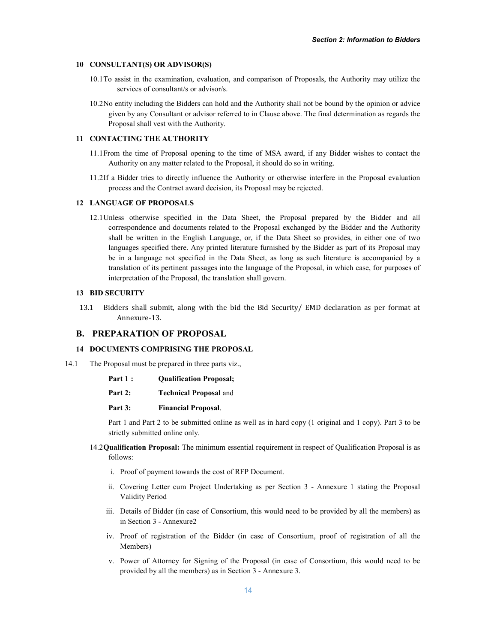### 10 CONSULTANT(S) OR ADVISOR(S)

- 10.1To assist in the examination, evaluation, and comparison of Proposals, the Authority may utilize the services of consultant/s or advisor/s.
- 10.2No entity including the Bidders can hold and the Authority shall not be bound by the opinion or advice given by any Consultant or advisor referred to in Clause above. The final determination as regards the Proposal shall vest with the Authority.

## 11 CONTACTING THE AUTHORITY

- 11.1From the time of Proposal opening to the time of MSA award, if any Bidder wishes to contact the Authority on any matter related to the Proposal, it should do so in writing.
- 11.2If a Bidder tries to directly influence the Authority or otherwise interfere in the Proposal evaluation process and the Contract award decision, its Proposal may be rejected.

### 12 LANGUAGE OF PROPOSALS

12.1Unless otherwise specified in the Data Sheet, the Proposal prepared by the Bidder and all correspondence and documents related to the Proposal exchanged by the Bidder and the Authority shall be written in the English Language, or, if the Data Sheet so provides, in either one of two languages specified there. Any printed literature furnished by the Bidder as part of its Proposal may be in a language not specified in the Data Sheet, as long as such literature is accompanied by a translation of its pertinent passages into the language of the Proposal, in which case, for purposes of interpretation of the Proposal, the translation shall govern.

### 13 BID SECURITY

13.1 Bidders shall submit, along with the bid the Bid Security/ EMD declaration as per format at Annexure-13.

# B. PREPARATION OF PROPOSAL

### 14 DOCUMENTS COMPRISING THE PROPOSAL

- 14.1 The Proposal must be prepared in three parts viz.,
	- Part 1 : Qualification Proposal;
	- Part 2: Technical Proposal and
	- Part 3: Financial Proposal.

Part 1 and Part 2 to be submitted online as well as in hard copy (1 original and 1 copy). Part 3 to be strictly submitted online only.

- 14.2Qualification Proposal: The minimum essential requirement in respect of Qualification Proposal is as follows:
	- i. Proof of payment towards the cost of RFP Document.
	- ii. Covering Letter cum Project Undertaking as per Section 3 Annexure 1 stating the Proposal Validity Period
	- iii. Details of Bidder (in case of Consortium, this would need to be provided by all the members) as in Section 3 - Annexure2
	- iv. Proof of registration of the Bidder (in case of Consortium, proof of registration of all the Members)
	- v. Power of Attorney for Signing of the Proposal (in case of Consortium, this would need to be provided by all the members) as in Section 3 - Annexure 3.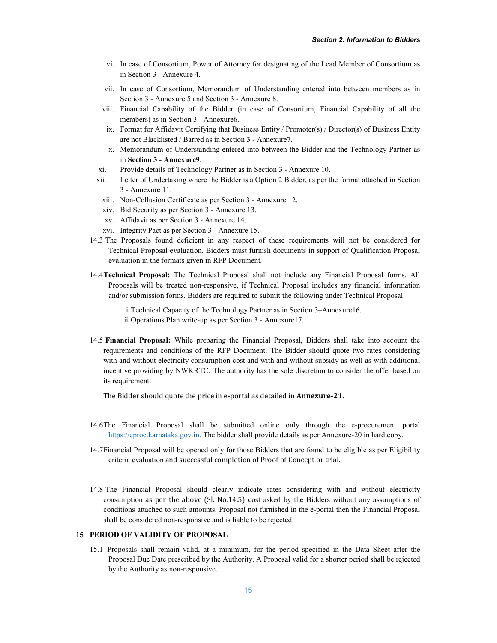- vi. In case of Consortium, Power of Attorney for designating of the Lead Member of Consortium as in Section 3 - Annexure 4.
- vii. In case of Consortium, Memorandum of Understanding entered into between members as in Section 3 - Annexure 5 and Section 3 - Annexure 8.
- viii. Financial Capability of the Bidder (in case of Consortium, Financial Capability of all the members) as in Section 3 - Annexure6.
- ix. Format for Affidavit Certifying that Business Entity / Promoter(s) / Director(s) of Business Entity are not Blacklisted / Barred as in Section 3 - Annexure7.
- x. Memorandum of Understanding entered into between the Bidder and the Technology Partner as in Section 3 - Annexure9.
- xi. Provide details of Technology Partner as in Section 3 Annexure 10.
- xii. Letter of Undertaking where the Bidder is a Option 2 Bidder, as per the format attached in Section 3 - Annexure 11.
- xiii. Non-Collusion Certificate as per Section 3 Annexure 12.
- xiv. Bid Security as per Section 3 Annexure 13.
- xv. Affidavit as per Section 3 Annexure 14.
- xvi. Integrity Pact as per Section 3 Annexure 15.
- 14.3 The Proposals found deficient in any respect of these requirements will not be considered for Technical Proposal evaluation. Bidders must furnish documents in support of Qualification Proposal evaluation in the formats given in RFP Document.
- 14.4Technical Proposal: The Technical Proposal shall not include any Financial Proposal forms. All Proposals will be treated non-responsive, if Technical Proposal includes any financial information and/or submission forms. Bidders are required to submit the following under Technical Proposal.

i.Technical Capacity of the Technology Partner as in Section 3–Annexure16. ii.Operations Plan write-up as per Section 3 - Annexure17.

14.5 Financial Proposal: While preparing the Financial Proposal, Bidders shall take into account the requirements and conditions of the RFP Document. The Bidder should quote two rates considering with and without electricity consumption cost and with and without subsidy as well as with additional incentive providing by NWKRTC. The authority has the sole discretion to consider the offer based on its requirement.

The Bidder should quote the price in e-portal as detailed in Annexure-21.

- 14.6The Financial Proposal shall be submitted online only through the e-procurement portal https://eproc.karnataka.gov.in. The bidder shall provide details as per Annexure-20 in hard copy.
- 14.7Financial Proposal will be opened only for those Bidders that are found to be eligible as per Eligibility criteria evaluation and successful completion of Proof of Concept or trial.
- 14.8 The Financial Proposal should clearly indicate rates considering with and without electricity consumption as per the above (Sl. No.14.5) cost asked by the Bidders without any assumptions of conditions attached to such amounts. Proposal not furnished in the e-portal then the Financial Proposal shall be considered non-responsive and is liable to be rejected.

### 15 PERIOD OF VALIDITY OF PROPOSAL

15.1 Proposals shall remain valid, at a minimum, for the period specified in the Data Sheet after the Proposal Due Date prescribed by the Authority. A Proposal valid for a shorter period shall be rejected by the Authority as non-responsive.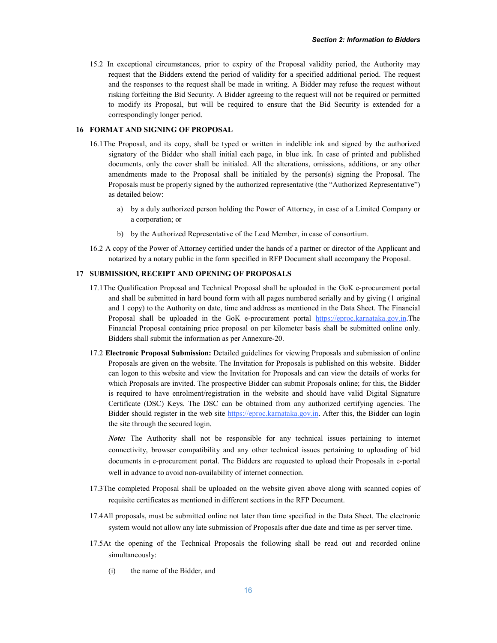15.2 In exceptional circumstances, prior to expiry of the Proposal validity period, the Authority may request that the Bidders extend the period of validity for a specified additional period. The request and the responses to the request shall be made in writing. A Bidder may refuse the request without risking forfeiting the Bid Security. A Bidder agreeing to the request will not be required or permitted to modify its Proposal, but will be required to ensure that the Bid Security is extended for a correspondingly longer period.

# 16 FORMAT AND SIGNING OF PROPOSAL

- 16.1The Proposal, and its copy, shall be typed or written in indelible ink and signed by the authorized signatory of the Bidder who shall initial each page, in blue ink. In case of printed and published documents, only the cover shall be initialed. All the alterations, omissions, additions, or any other amendments made to the Proposal shall be initialed by the person(s) signing the Proposal. The Proposals must be properly signed by the authorized representative (the "Authorized Representative") as detailed below:
	- a) by a duly authorized person holding the Power of Attorney, in case of a Limited Company or a corporation; or
	- b) by the Authorized Representative of the Lead Member, in case of consortium.
- 16.2 A copy of the Power of Attorney certified under the hands of a partner or director of the Applicant and notarized by a notary public in the form specified in RFP Document shall accompany the Proposal.

# 17 SUBMISSION, RECEIPT AND OPENING OF PROPOSALS

- 17.1The Qualification Proposal and Technical Proposal shall be uploaded in the GoK e-procurement portal and shall be submitted in hard bound form with all pages numbered serially and by giving (1 original and 1 copy) to the Authority on date, time and address as mentioned in the Data Sheet. The Financial Proposal shall be uploaded in the GoK e-procurement portal https://eproc.karnataka.gov.in.The Financial Proposal containing price proposal on per kilometer basis shall be submitted online only. Bidders shall submit the information as per Annexure-20.
- 17.2 Electronic Proposal Submission: Detailed guidelines for viewing Proposals and submission of online Proposals are given on the website. The Invitation for Proposals is published on this website. Bidder can logon to this website and view the Invitation for Proposals and can view the details of works for which Proposals are invited. The prospective Bidder can submit Proposals online; for this, the Bidder is required to have enrolment/registration in the website and should have valid Digital Signature Certificate (DSC) Keys. The DSC can be obtained from any authorized certifying agencies. The Bidder should register in the web site https://eproc.karnataka.gov.in. After this, the Bidder can login the site through the secured login.

*Note:* The Authority shall not be responsible for any technical issues pertaining to internet connectivity, browser compatibility and any other technical issues pertaining to uploading of bid documents in e-procurement portal. The Bidders are requested to upload their Proposals in e-portal well in advance to avoid non-availability of internet connection.

- 17.3The completed Proposal shall be uploaded on the website given above along with scanned copies of requisite certificates as mentioned in different sections in the RFP Document.
- 17.4All proposals, must be submitted online not later than time specified in the Data Sheet. The electronic system would not allow any late submission of Proposals after due date and time as per server time.
- 17.5At the opening of the Technical Proposals the following shall be read out and recorded online simultaneously:
	- (i) the name of the Bidder, and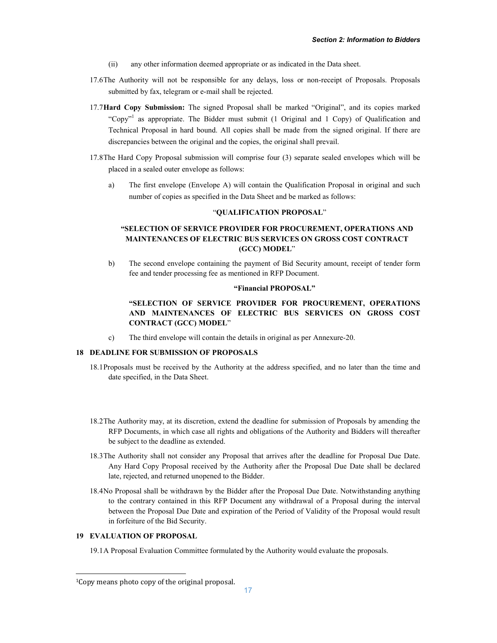- (ii) any other information deemed appropriate or as indicated in the Data sheet.
- 17.6The Authority will not be responsible for any delays, loss or non-receipt of Proposals. Proposals submitted by fax, telegram or e-mail shall be rejected.
- 17.7Hard Copy Submission: The signed Proposal shall be marked "Original", and its copies marked "Copy"<sup>1</sup> as appropriate. The Bidder must submit  $(1 \text{ Original and } 1 \text{ Copy})$  of Qualification and Technical Proposal in hard bound. All copies shall be made from the signed original. If there are discrepancies between the original and the copies, the original shall prevail.
- 17.8The Hard Copy Proposal submission will comprise four (3) separate sealed envelopes which will be placed in a sealed outer envelope as follows:
	- a) The first envelope (Envelope A) will contain the Qualification Proposal in original and such number of copies as specified in the Data Sheet and be marked as follows:

### "QUALIFICATION PROPOSAL"

# "SELECTION OF SERVICE PROVIDER FOR PROCUREMENT, OPERATIONS AND MAINTENANCES OF ELECTRIC BUS SERVICES ON GROSS COST CONTRACT (GCC) MODEL"

b) The second envelope containing the payment of Bid Security amount, receipt of tender form fee and tender processing fee as mentioned in RFP Document.

### "Financial PROPOSAL"

# "SELECTION OF SERVICE PROVIDER FOR PROCUREMENT, OPERATIONS AND MAINTENANCES OF ELECTRIC BUS SERVICES ON GROSS COST CONTRACT (GCC) MODEL"

c) The third envelope will contain the details in original as per Annexure-20.

## 18 DEADLINE FOR SUBMISSION OF PROPOSALS

- 18.1Proposals must be received by the Authority at the address specified, and no later than the time and date specified, in the Data Sheet.
- 18.2The Authority may, at its discretion, extend the deadline for submission of Proposals by amending the RFP Documents, in which case all rights and obligations of the Authority and Bidders will thereafter be subject to the deadline as extended.
- 18.3The Authority shall not consider any Proposal that arrives after the deadline for Proposal Due Date. Any Hard Copy Proposal received by the Authority after the Proposal Due Date shall be declared late, rejected, and returned unopened to the Bidder.
- 18.4No Proposal shall be withdrawn by the Bidder after the Proposal Due Date. Notwithstanding anything to the contrary contained in this RFP Document any withdrawal of a Proposal during the interval between the Proposal Due Date and expiration of the Period of Validity of the Proposal would result in forfeiture of the Bid Security.

### 19 EVALUATION OF PROPOSAL

19.1A Proposal Evaluation Committee formulated by the Authority would evaluate the proposals.

 <sup>1</sup>Copy means photo copy of the original proposal.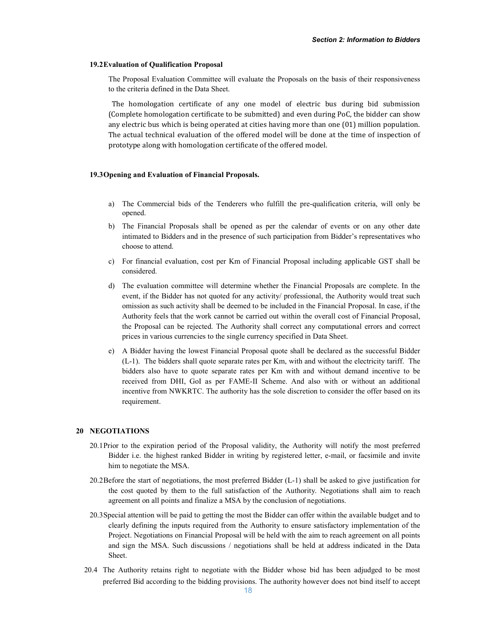### 19.2Evaluation of Qualification Proposal

The Proposal Evaluation Committee will evaluate the Proposals on the basis of their responsiveness to the criteria defined in the Data Sheet.

The homologation certificate of any one model of electric bus during bid submission (Complete homologation certificate to be submitted) and even during PoC, the bidder can show any electric bus which is being operated at cities having more than one (01) million population. The actual technical evaluation of the offered model will be done at the time of inspection of prototype along with homologation certificate of the offered model.

### 19.3Opening and Evaluation of Financial Proposals.

- a) The Commercial bids of the Tenderers who fulfill the pre-qualification criteria, will only be opened.
- b) The Financial Proposals shall be opened as per the calendar of events or on any other date intimated to Bidders and in the presence of such participation from Bidder's representatives who choose to attend.
- c) For financial evaluation, cost per Km of Financial Proposal including applicable GST shall be considered.
- d) The evaluation committee will determine whether the Financial Proposals are complete. In the event, if the Bidder has not quoted for any activity/ professional, the Authority would treat such omission as such activity shall be deemed to be included in the Financial Proposal. In case, if the Authority feels that the work cannot be carried out within the overall cost of Financial Proposal, the Proposal can be rejected. The Authority shall correct any computational errors and correct prices in various currencies to the single currency specified in Data Sheet.
- e) A Bidder having the lowest Financial Proposal quote shall be declared as the successful Bidder (L-1). The bidders shall quote separate rates per Km, with and without the electricity tariff. The bidders also have to quote separate rates per Km with and without demand incentive to be received from DHI, GoI as per FAME-II Scheme. And also with or without an additional incentive from NWKRTC. The authority has the sole discretion to consider the offer based on its requirement.

### 20 NEGOTIATIONS

- 20.1Prior to the expiration period of the Proposal validity, the Authority will notify the most preferred Bidder i.e. the highest ranked Bidder in writing by registered letter, e-mail, or facsimile and invite him to negotiate the MSA.
- 20.2Before the start of negotiations, the most preferred Bidder (L-1) shall be asked to give justification for the cost quoted by them to the full satisfaction of the Authority. Negotiations shall aim to reach agreement on all points and finalize a MSA by the conclusion of negotiations.
- 20.3Special attention will be paid to getting the most the Bidder can offer within the available budget and to clearly defining the inputs required from the Authority to ensure satisfactory implementation of the Project. Negotiations on Financial Proposal will be held with the aim to reach agreement on all points and sign the MSA. Such discussions / negotiations shall be held at address indicated in the Data Sheet.
- 20.4 The Authority retains right to negotiate with the Bidder whose bid has been adjudged to be most preferred Bid according to the bidding provisions. The authority however does not bind itself to accept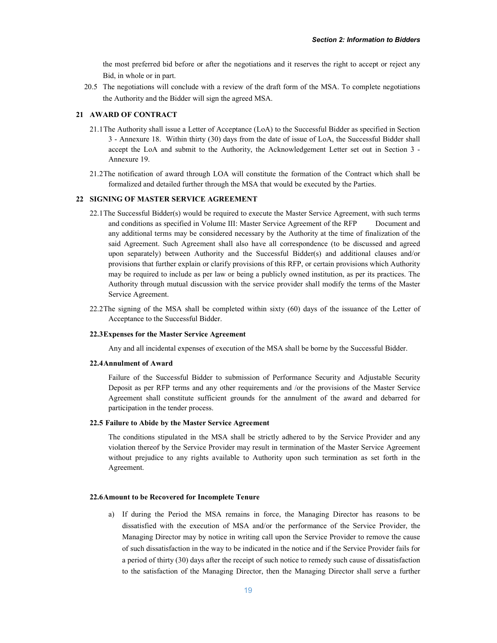the most preferred bid before or after the negotiations and it reserves the right to accept or reject any Bid, in whole or in part.

20.5 The negotiations will conclude with a review of the draft form of the MSA. To complete negotiations the Authority and the Bidder will sign the agreed MSA.

### 21 AWARD OF CONTRACT

- 21.1The Authority shall issue a Letter of Acceptance (LoA) to the Successful Bidder as specified in Section 3 - Annexure 18. Within thirty (30) days from the date of issue of LoA, the Successful Bidder shall accept the LoA and submit to the Authority, the Acknowledgement Letter set out in Section 3 - Annexure 19.
- 21.2The notification of award through LOA will constitute the formation of the Contract which shall be formalized and detailed further through the MSA that would be executed by the Parties.

### 22 SIGNING OF MASTER SERVICE AGREEMENT

- 22.1The Successful Bidder(s) would be required to execute the Master Service Agreement, with such terms and conditions as specified in Volume III: Master Service Agreement of the RFP Document and any additional terms may be considered necessary by the Authority at the time of finalization of the said Agreement. Such Agreement shall also have all correspondence (to be discussed and agreed upon separately) between Authority and the Successful Bidder(s) and additional clauses and/or provisions that further explain or clarify provisions of this RFP, or certain provisions which Authority may be required to include as per law or being a publicly owned institution, as per its practices. The Authority through mutual discussion with the service provider shall modify the terms of the Master Service Agreement.
- 22.2The signing of the MSA shall be completed within sixty (60) days of the issuance of the Letter of Acceptance to the Successful Bidder.

### 22.3Expenses for the Master Service Agreement

Any and all incidental expenses of execution of the MSA shall be borne by the Successful Bidder.

### 22.4Annulment of Award

Failure of the Successful Bidder to submission of Performance Security and Adjustable Security Deposit as per RFP terms and any other requirements and /or the provisions of the Master Service Agreement shall constitute sufficient grounds for the annulment of the award and debarred for participation in the tender process.

### 22.5 Failure to Abide by the Master Service Agreement

The conditions stipulated in the MSA shall be strictly adhered to by the Service Provider and any violation thereof by the Service Provider may result in termination of the Master Service Agreement without prejudice to any rights available to Authority upon such termination as set forth in the Agreement.

### 22.6Amount to be Recovered for Incomplete Tenure

a) If during the Period the MSA remains in force, the Managing Director has reasons to be dissatisfied with the execution of MSA and/or the performance of the Service Provider, the Managing Director may by notice in writing call upon the Service Provider to remove the cause of such dissatisfaction in the way to be indicated in the notice and if the Service Provider fails for a period of thirty (30) days after the receipt of such notice to remedy such cause of dissatisfaction to the satisfaction of the Managing Director, then the Managing Director shall serve a further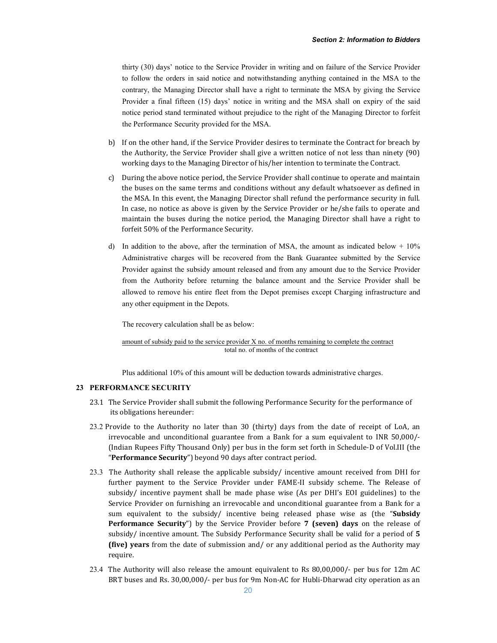thirty (30) days' notice to the Service Provider in writing and on failure of the Service Provider to follow the orders in said notice and notwithstanding anything contained in the MSA to the contrary, the Managing Director shall have a right to terminate the MSA by giving the Service Provider a final fifteen (15) days' notice in writing and the MSA shall on expiry of the said notice period stand terminated without prejudice to the right of the Managing Director to forfeit the Performance Security provided for the MSA.

- b) If on the other hand, if the Service Provider desires to terminate the Contract for breach by the Authority, the Service Provider shall give a written notice of not less than ninety (90) working days to the Managing Director of his/her intention to terminate the Contract.
- c) During the above notice period, the Service Provider shall continue to operate and maintain the buses on the same terms and conditions without any default whatsoever as defined in the MSA. In this event, the Managing Director shall refund the performance security in full. In case, no notice as above is given by the Service Provider or he/she fails to operate and maintain the buses during the notice period, the Managing Director shall have a right to forfeit 50% of the Performance Security.
- d) In addition to the above, after the termination of MSA, the amount as indicated below  $+10\%$ Administrative charges will be recovered from the Bank Guarantee submitted by the Service Provider against the subsidy amount released and from any amount due to the Service Provider from the Authority before returning the balance amount and the Service Provider shall be allowed to remove his entire fleet from the Depot premises except Charging infrastructure and any other equipment in the Depots.

The recovery calculation shall be as below:

amount of subsidy paid to the service provider X no. of months remaining to complete the contract total no. of months of the contract

Plus additional 10% of this amount will be deduction towards administrative charges.

### 23 PERFORMANCE SECURITY

- 23.1 The Service Provider shall submit the following Performance Security for the performance of its obligations hereunder:
- 23.2 Provide to the Authority no later than 30 (thirty) days from the date of receipt of LoA, an irrevocable and unconditional guarantee from a Bank for a sum equivalent to INR 50,000/- (Indian Rupees Fifty Thousand Only) per bus in the form set forth in Schedule-D of Vol.III (the "Performance Security") beyond 90 days after contract period.
- 23.3 The Authority shall release the applicable subsidy/ incentive amount received from DHI for further payment to the Service Provider under FAME-II subsidy scheme. The Release of subsidy/ incentive payment shall be made phase wise (As per DHI's EOI guidelines) to the Service Provider on furnishing an irrevocable and unconditional guarantee from a Bank for a sum equivalent to the subsidy/ incentive being released phase wise as (the "Subsidy Performance Security") by the Service Provider before 7 (seven) days on the release of subsidy/ incentive amount. The Subsidy Performance Security shall be valid for a period of 5 (five) years from the date of submission and/ or any additional period as the Authority may require.
- 23.4 The Authority will also release the amount equivalent to Rs 80,00,000/- per bus for 12m AC BRT buses and Rs. 30,00,000/- per bus for 9m Non-AC for Hubli-Dharwad city operation as an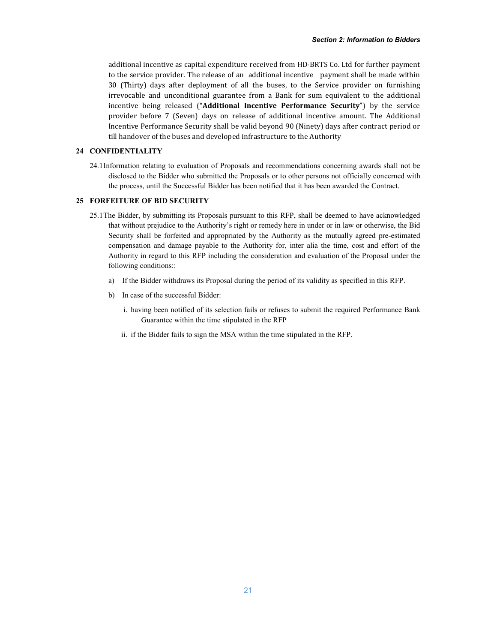additional incentive as capital expenditure received from HD-BRTS Co. Ltd for further payment to the service provider. The release of an additional incentive payment shall be made within 30 (Thirty) days after deployment of all the buses, to the Service provider on furnishing irrevocable and unconditional guarantee from a Bank for sum equivalent to the additional incentive being released ("Additional Incentive Performance Security") by the service provider before 7 (Seven) days on release of additional incentive amount. The Additional Incentive Performance Security shall be valid beyond 90 (Ninety) days after contract period or till handover of the buses and developed infrastructure to the Authority

### 24 CONFIDENTIALITY

24.1Information relating to evaluation of Proposals and recommendations concerning awards shall not be disclosed to the Bidder who submitted the Proposals or to other persons not officially concerned with the process, until the Successful Bidder has been notified that it has been awarded the Contract.

# 25 FORFEITURE OF BID SECURITY

- 25.1The Bidder, by submitting its Proposals pursuant to this RFP, shall be deemed to have acknowledged that without prejudice to the Authority's right or remedy here in under or in law or otherwise, the Bid Security shall be forfeited and appropriated by the Authority as the mutually agreed pre-estimated compensation and damage payable to the Authority for, inter alia the time, cost and effort of the Authority in regard to this RFP including the consideration and evaluation of the Proposal under the following conditions::
	- a) If the Bidder withdraws its Proposal during the period of its validity as specified in this RFP.
	- b) In case of the successful Bidder:
		- i. having been notified of its selection fails or refuses to submit the required Performance Bank Guarantee within the time stipulated in the RFP
		- ii. if the Bidder fails to sign the MSA within the time stipulated in the RFP.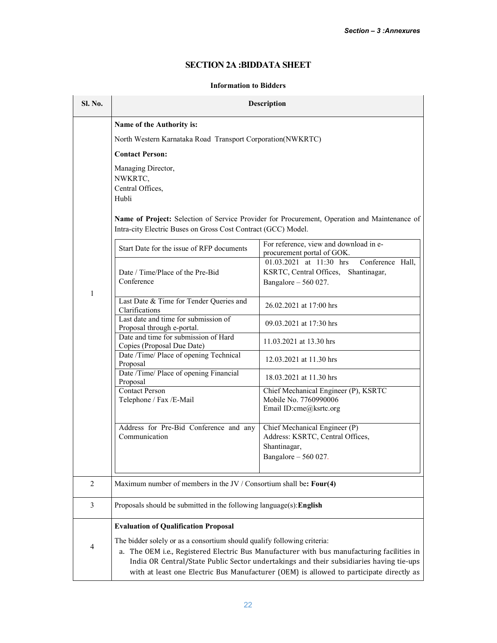# SECTION 2A :BIDDATA SHEET

# Information to Bidders

| Sl. No. | <b>Description</b>                                                                                                                                                                                                                                                                                                                                          |                                                                                                              |  |  |
|---------|-------------------------------------------------------------------------------------------------------------------------------------------------------------------------------------------------------------------------------------------------------------------------------------------------------------------------------------------------------------|--------------------------------------------------------------------------------------------------------------|--|--|
|         | Name of the Authority is:                                                                                                                                                                                                                                                                                                                                   |                                                                                                              |  |  |
|         | North Western Karnataka Road Transport Corporation(NWKRTC)                                                                                                                                                                                                                                                                                                  |                                                                                                              |  |  |
|         | <b>Contact Person:</b>                                                                                                                                                                                                                                                                                                                                      |                                                                                                              |  |  |
|         | Managing Director,<br>NWKRTC,<br>Central Offices,<br>Hubli<br>Intra-city Electric Buses on Gross Cost Contract (GCC) Model.                                                                                                                                                                                                                                 | Name of Project: Selection of Service Provider for Procurement, Operation and Maintenance of                 |  |  |
|         | Start Date for the issue of RFP documents                                                                                                                                                                                                                                                                                                                   | For reference, view and download in e-<br>procurement portal of GOK.                                         |  |  |
| 1       | Date / Time/Place of the Pre-Bid<br>Conference                                                                                                                                                                                                                                                                                                              | 01.03.2021 at 11:30 hrs<br>Conference Hall,<br>KSRTC, Central Offices, Shantinagar,<br>Bangalore $-560027$ . |  |  |
|         | Last Date & Time for Tender Queries and<br>Clarifications                                                                                                                                                                                                                                                                                                   | 26.02.2021 at 17:00 hrs                                                                                      |  |  |
|         | Last date and time for submission of<br>Proposal through e-portal.                                                                                                                                                                                                                                                                                          | 09.03.2021 at 17:30 hrs                                                                                      |  |  |
|         | Date and time for submission of Hard<br>Copies (Proposal Due Date)                                                                                                                                                                                                                                                                                          | 11.03.2021 at 13.30 hrs                                                                                      |  |  |
|         | Date /Time/ Place of opening Technical<br>Proposal                                                                                                                                                                                                                                                                                                          | 12.03.2021 at 11.30 hrs                                                                                      |  |  |
|         | Date /Time/ Place of opening Financial<br>Proposal                                                                                                                                                                                                                                                                                                          | 18.03.2021 at 11.30 hrs                                                                                      |  |  |
|         | <b>Contact Person</b><br>Telephone / Fax /E-Mail                                                                                                                                                                                                                                                                                                            | Chief Mechanical Engineer (P), KSRTC<br>Mobile No. 7760990006<br>Email ID:cme@ksrtc.org                      |  |  |
|         | Address for Pre-Bid Conference and any                                                                                                                                                                                                                                                                                                                      | Chief Mechanical Engineer (P)                                                                                |  |  |
|         | Communication                                                                                                                                                                                                                                                                                                                                               | Address: KSRTC, Central Offices,<br>Shantinagar,                                                             |  |  |
|         |                                                                                                                                                                                                                                                                                                                                                             | Bangalore - 560 027.                                                                                         |  |  |
| 2       | Maximum number of members in the JV / Consortium shall be: Four(4)                                                                                                                                                                                                                                                                                          |                                                                                                              |  |  |
| 3       | Proposals should be submitted in the following language(s): English                                                                                                                                                                                                                                                                                         |                                                                                                              |  |  |
|         | <b>Evaluation of Qualification Proposal</b>                                                                                                                                                                                                                                                                                                                 |                                                                                                              |  |  |
| 4       | The bidder solely or as a consortium should qualify following criteria:<br>a. The OEM i.e., Registered Electric Bus Manufacturer with bus manufacturing facilities in<br>India OR Central/State Public Sector undertakings and their subsidiaries having tie-ups<br>with at least one Electric Bus Manufacturer (OEM) is allowed to participate directly as |                                                                                                              |  |  |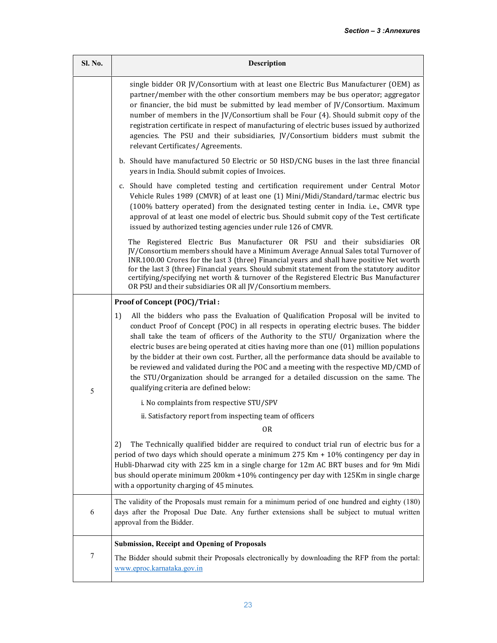| Sl. No. | Description                                                                                                                                                                                                                                                                                                                                                                                                                                                                                                                                                                                                                                                                                   |
|---------|-----------------------------------------------------------------------------------------------------------------------------------------------------------------------------------------------------------------------------------------------------------------------------------------------------------------------------------------------------------------------------------------------------------------------------------------------------------------------------------------------------------------------------------------------------------------------------------------------------------------------------------------------------------------------------------------------|
|         | single bidder OR JV/Consortium with at least one Electric Bus Manufacturer (OEM) as<br>partner/member with the other consortium members may be bus operator; aggregator<br>or financier, the bid must be submitted by lead member of JV/Consortium. Maximum<br>number of members in the JV/Consortium shall be Four (4). Should submit copy of the<br>registration certificate in respect of manufacturing of electric buses issued by authorized<br>agencies. The PSU and their subsidiaries, JV/Consortium bidders must submit the<br>relevant Certificates/Agreements.                                                                                                                     |
|         | b. Should have manufactured 50 Electric or 50 HSD/CNG buses in the last three financial<br>years in India. Should submit copies of Invoices.                                                                                                                                                                                                                                                                                                                                                                                                                                                                                                                                                  |
|         | c. Should have completed testing and certification requirement under Central Motor<br>Vehicle Rules 1989 (CMVR) of at least one (1) Mini/Midi/Standard/tarmac electric bus<br>(100% battery operated) from the designated testing center in India. i.e., CMVR type<br>approval of at least one model of electric bus. Should submit copy of the Test certificate<br>issued by authorized testing agencies under rule 126 of CMVR.                                                                                                                                                                                                                                                             |
|         | The Registered Electric Bus Manufacturer OR PSU and their subsidiaries OR<br>JV/Consortium members should have a Minimum Average Annual Sales total Turnover of<br>INR.100.00 Crores for the last 3 (three) Financial years and shall have positive Net worth<br>for the last 3 (three) Financial years. Should submit statement from the statutory auditor<br>certifying/specifying net worth & turnover of the Registered Electric Bus Manufacturer<br>OR PSU and their subsidiaries OR all JV/Consortium members.                                                                                                                                                                          |
|         | Proof of Concept (POC)/Trial:                                                                                                                                                                                                                                                                                                                                                                                                                                                                                                                                                                                                                                                                 |
| 5       | 1)<br>All the bidders who pass the Evaluation of Qualification Proposal will be invited to<br>conduct Proof of Concept (POC) in all respects in operating electric buses. The bidder<br>shall take the team of officers of the Authority to the STU/ Organization where the<br>electric buses are being operated at cities having more than one (01) million populations<br>by the bidder at their own cost. Further, all the performance data should be available to<br>be reviewed and validated during the POC and a meeting with the respective MD/CMD of<br>the STU/Organization should be arranged for a detailed discussion on the same. The<br>qualifying criteria are defined below: |
|         | i. No complaints from respective STU/SPV                                                                                                                                                                                                                                                                                                                                                                                                                                                                                                                                                                                                                                                      |
|         | ii. Satisfactory report from inspecting team of officers                                                                                                                                                                                                                                                                                                                                                                                                                                                                                                                                                                                                                                      |
|         | 0R                                                                                                                                                                                                                                                                                                                                                                                                                                                                                                                                                                                                                                                                                            |
|         | The Technically qualified bidder are required to conduct trial run of electric bus for a<br>2)<br>period of two days which should operate a minimum $275$ Km $+ 10\%$ contingency per day in<br>Hubli-Dharwad city with 225 km in a single charge for 12m AC BRT buses and for 9m Midi<br>bus should operate minimum 200km +10% contingency per day with 125Km in single charge<br>with a opportunity charging of 45 minutes.                                                                                                                                                                                                                                                                 |
| 6       | The validity of the Proposals must remain for a minimum period of one hundred and eighty (180)<br>days after the Proposal Due Date. Any further extensions shall be subject to mutual written<br>approval from the Bidder.                                                                                                                                                                                                                                                                                                                                                                                                                                                                    |
|         | <b>Submission, Receipt and Opening of Proposals</b>                                                                                                                                                                                                                                                                                                                                                                                                                                                                                                                                                                                                                                           |
| 7       | The Bidder should submit their Proposals electronically by downloading the RFP from the portal:<br>www.eproc.karnataka.gov.in                                                                                                                                                                                                                                                                                                                                                                                                                                                                                                                                                                 |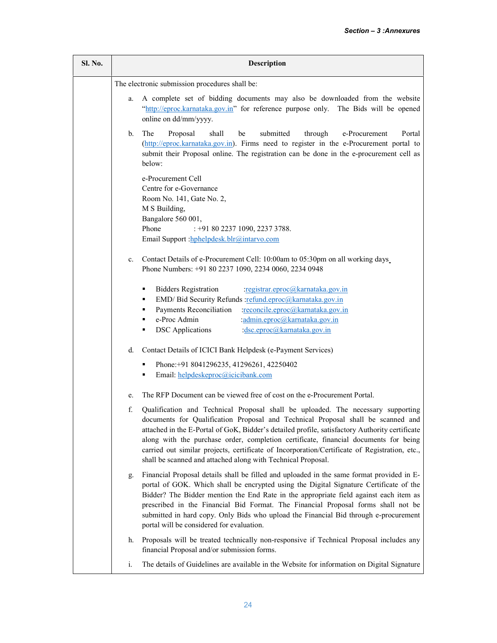| Sl. No. | Description                                    |                                                                                                                                                                                                                                                                                                                                                                                                                                                                                                                                 |  |
|---------|------------------------------------------------|---------------------------------------------------------------------------------------------------------------------------------------------------------------------------------------------------------------------------------------------------------------------------------------------------------------------------------------------------------------------------------------------------------------------------------------------------------------------------------------------------------------------------------|--|
|         | The electronic submission procedures shall be: |                                                                                                                                                                                                                                                                                                                                                                                                                                                                                                                                 |  |
|         | a.                                             | A complete set of bidding documents may also be downloaded from the website<br>"http://eproc.karnataka.gov.in" for reference purpose only. The Bids will be opened<br>online on dd/mm/yyyy.                                                                                                                                                                                                                                                                                                                                     |  |
|         | b.                                             | submitted<br>The<br>Proposal<br>shall<br>through<br>be<br>e-Procurement<br>Portal<br>(http://eproc.karnataka.gov.in). Firms need to register in the e-Procurement portal to<br>submit their Proposal online. The registration can be done in the e-procurement cell as<br>below:                                                                                                                                                                                                                                                |  |
|         |                                                | e-Procurement Cell<br>Centre for e-Governance<br>Room No. 141, Gate No. 2,<br>M S Building,<br>Bangalore 560 001,<br>Phone<br>: +91 80 2237 1090, 2237 3788.<br>Email Support : hphelpdesk.blr@intarvo.com                                                                                                                                                                                                                                                                                                                      |  |
|         | c.                                             | Contact Details of e-Procurement Cell: 10:00am to 05:30pm on all working days<br>Phone Numbers: +91 80 2237 1090, 2234 0060, 2234 0948                                                                                                                                                                                                                                                                                                                                                                                          |  |
|         |                                                | <b>Bidders Registration</b><br>:registrar.eproc@karnataka.gov.in<br>٠<br>EMD/ Bid Security Refunds :refund.eproc@karnataka.gov.in<br>٠<br>Payments Reconciliation<br>:reconcile.eproc@karnataka.gov.in<br>٠<br>e-Proc Admin<br>:admin.eproc@karnataka.gov.in<br>٠<br><b>DSC</b> Applications<br>:dsc.eproc@karnataka.gov.in                                                                                                                                                                                                     |  |
|         | d.                                             | Contact Details of ICICI Bank Helpdesk (e-Payment Services)                                                                                                                                                                                                                                                                                                                                                                                                                                                                     |  |
|         |                                                | Phone: +91 8041296235, 41296261, 42250402<br>Email: helpdeskeproc@icicibank.com<br>٠                                                                                                                                                                                                                                                                                                                                                                                                                                            |  |
|         | e.                                             | The RFP Document can be viewed free of cost on the e-Procurement Portal.                                                                                                                                                                                                                                                                                                                                                                                                                                                        |  |
|         | f.                                             | Qualification and Technical Proposal shall be uploaded. The necessary supporting<br>documents for Qualification Proposal and Technical Proposal shall be scanned and<br>attached in the E-Portal of GoK, Bidder's detailed profile, satisfactory Authority certificate<br>along with the purchase order, completion certificate, financial documents for being<br>carried out similar projects, certificate of Incorporation/Certificate of Registration, etc.,<br>shall be scanned and attached along with Technical Proposal. |  |
|         | g.                                             | Financial Proposal details shall be filled and uploaded in the same format provided in E-<br>portal of GOK. Which shall be encrypted using the Digital Signature Certificate of the<br>Bidder? The Bidder mention the End Rate in the appropriate field against each item as<br>prescribed in the Financial Bid Format. The Financial Proposal forms shall not be<br>submitted in hard copy. Only Bids who upload the Financial Bid through e-procurement<br>portal will be considered for evaluation.                          |  |
|         | h.                                             | Proposals will be treated technically non-responsive if Technical Proposal includes any<br>financial Proposal and/or submission forms.                                                                                                                                                                                                                                                                                                                                                                                          |  |
|         | i.                                             | The details of Guidelines are available in the Website for information on Digital Signature                                                                                                                                                                                                                                                                                                                                                                                                                                     |  |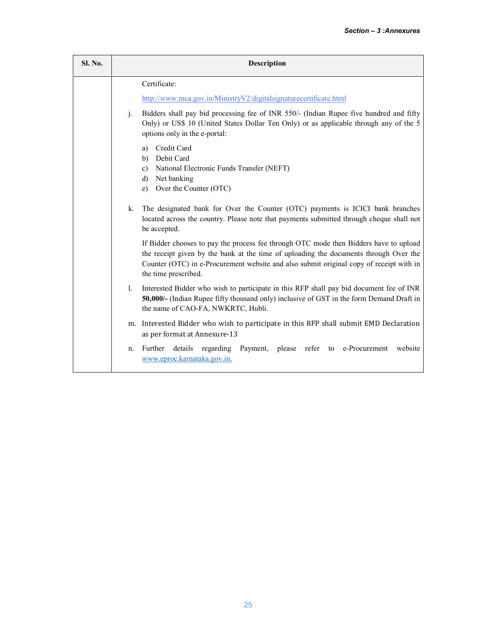| Sl. No. |                                                                                                                                               | <b>Description</b>                                                                                                                                                                                                                                                                                |  |  |
|---------|-----------------------------------------------------------------------------------------------------------------------------------------------|---------------------------------------------------------------------------------------------------------------------------------------------------------------------------------------------------------------------------------------------------------------------------------------------------|--|--|
|         |                                                                                                                                               | Certificate:                                                                                                                                                                                                                                                                                      |  |  |
|         |                                                                                                                                               | http://www.mca.gov.in/MinistryV2/digitalsignaturecertificate.html                                                                                                                                                                                                                                 |  |  |
|         | j.                                                                                                                                            | Bidders shall pay bid processing fee of INR 550/- (Indian Rupee five hundred and fifty<br>Only) or US\$ 10 (United States Dollar Ten Only) or as applicable through any of the 5<br>options only in the e-portal:                                                                                 |  |  |
|         | Credit Card<br>a)<br>Debit Card<br>b)<br>National Electronic Funds Transfer (NEFT)<br>c)<br>Net banking<br>d)<br>Over the Counter (OTC)<br>e) |                                                                                                                                                                                                                                                                                                   |  |  |
|         | $k_{-}$                                                                                                                                       | The designated bank for Over the Counter (OTC) payments is ICICI bank branches<br>located across the country. Please note that payments submitted through cheque shall not<br>be accepted.                                                                                                        |  |  |
|         |                                                                                                                                               | If Bidder chooses to pay the process fee through OTC mode then Bidders have to upload<br>the receipt given by the bank at the time of uploading the documents through Over the<br>Counter (OTC) in e-Procurement website and also submit original copy of receipt with in<br>the time prescribed. |  |  |
|         | $\mathbf{1}$ .                                                                                                                                | Interested Bidder who wish to participate in this RFP shall pay bid document fee of INR<br>50,000/- (Indian Rupee fifty thousand only) inclusive of GST in the form Demand Draft in<br>the name of CAO-FA, NWKRTC, Hubli.                                                                         |  |  |
|         | m.                                                                                                                                            | Interested Bidder who wish to participate in this RFP shall submit EMD Declaration<br>as per format at Annexure-13                                                                                                                                                                                |  |  |
|         | n.                                                                                                                                            | Further<br>details<br>regarding<br>Payment, please refer to<br>e-Procurement<br>website<br>www.eproc.karnataka.gov.in.                                                                                                                                                                            |  |  |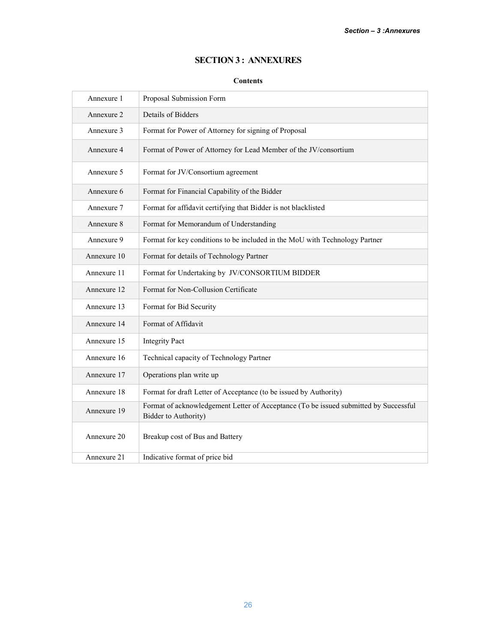# SECTION 3 : ANNEXURES

# **Contents**

| Annexure 1  | Proposal Submission Form                                                                                     |
|-------------|--------------------------------------------------------------------------------------------------------------|
| Annexure 2  | Details of Bidders                                                                                           |
| Annexure 3  | Format for Power of Attorney for signing of Proposal                                                         |
| Annexure 4  | Format of Power of Attorney for Lead Member of the JV/consortium                                             |
| Annexure 5  | Format for JV/Consortium agreement                                                                           |
| Annexure 6  | Format for Financial Capability of the Bidder                                                                |
| Annexure 7  | Format for affidavit certifying that Bidder is not blacklisted                                               |
| Annexure 8  | Format for Memorandum of Understanding                                                                       |
| Annexure 9  | Format for key conditions to be included in the MoU with Technology Partner                                  |
| Annexure 10 | Format for details of Technology Partner                                                                     |
| Annexure 11 | Format for Undertaking by JV/CONSORTIUM BIDDER                                                               |
| Annexure 12 | Format for Non-Collusion Certificate                                                                         |
| Annexure 13 | Format for Bid Security                                                                                      |
| Annexure 14 | Format of Affidavit                                                                                          |
| Annexure 15 | <b>Integrity Pact</b>                                                                                        |
| Annexure 16 | Technical capacity of Technology Partner                                                                     |
| Annexure 17 | Operations plan write up                                                                                     |
| Annexure 18 | Format for draft Letter of Acceptance (to be issued by Authority)                                            |
| Annexure 19 | Format of acknowledgement Letter of Acceptance (To be issued submitted by Successful<br>Bidder to Authority) |
| Annexure 20 | Breakup cost of Bus and Battery                                                                              |
| Annexure 21 | Indicative format of price bid                                                                               |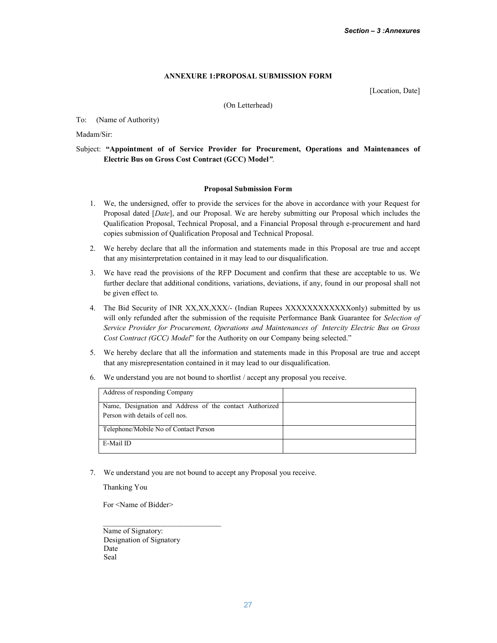# ANNEXURE 1:PROPOSAL SUBMISSION FORM

[Location, Date]

(On Letterhead)

To: (Name of Authority)

Madam/Sir:

# Subject: "Appointment of of Service Provider for Procurement, Operations and Maintenances of Electric Bus on Gross Cost Contract (GCC) Model*"*.

### Proposal Submission Form

- 1. We, the undersigned, offer to provide the services for the above in accordance with your Request for Proposal dated [*Date*], and our Proposal. We are hereby submitting our Proposal which includes the Qualification Proposal, Technical Proposal, and a Financial Proposal through e-procurement and hard copies submission of Qualification Proposal and Technical Proposal.
- 2. We hereby declare that all the information and statements made in this Proposal are true and accept that any misinterpretation contained in it may lead to our disqualification.
- 3. We have read the provisions of the RFP Document and confirm that these are acceptable to us. We further declare that additional conditions, variations, deviations, if any, found in our proposal shall not be given effect to.
- 4. The Bid Security of INR XX,XX,XXX/- (Indian Rupees XXXXXXXXXXXXXX) submitted by us will only refunded after the submission of the requisite Performance Bank Guarantee for *Selection of Service Provider for Procurement, Operations and Maintenances of Intercity Electric Bus on Gross Cost Contract (GCC) Model*" for the Authority on our Company being selected."
- 5. We hereby declare that all the information and statements made in this Proposal are true and accept that any misrepresentation contained in it may lead to our disqualification.
- 6. We understand you are not bound to shortlist / accept any proposal you receive.

| Address of responding Company                                                               |  |
|---------------------------------------------------------------------------------------------|--|
| Name, Designation and Address of the contact Authorized<br>Person with details of cell nos. |  |
| Telephone/Mobile No of Contact Person                                                       |  |
| E-Mail ID                                                                                   |  |

7. We understand you are not bound to accept any Proposal you receive.

Thanking You

For <Name of Bidder>

Name of Signatory: Designation of Signatory Date Seal

\_\_\_\_\_\_\_\_\_\_\_\_\_\_\_\_\_\_\_\_\_\_\_\_\_\_\_\_\_\_\_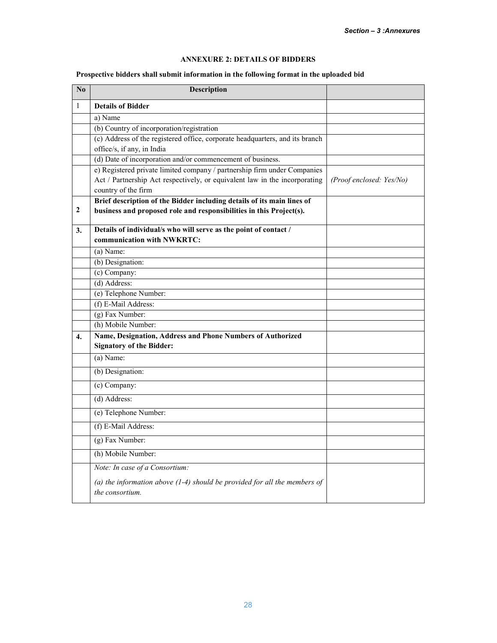# ANNEXURE 2: DETAILS OF BIDDERS

# Prospective bidders shall submit information in the following format in the uploaded bid

| $\mathbf{N}\mathbf{0}$ | <b>Description</b>                                                                             |                          |
|------------------------|------------------------------------------------------------------------------------------------|--------------------------|
| $\mathbf{1}$           | <b>Details of Bidder</b>                                                                       |                          |
|                        | a) Name                                                                                        |                          |
|                        | (b) Country of incorporation/registration                                                      |                          |
|                        | (c) Address of the registered office, corporate headquarters, and its branch                   |                          |
|                        | office/s, if any, in India<br>(d) Date of incorporation and/or commencement of business.       |                          |
|                        | e) Registered private limited company / partnership firm under Companies                       |                          |
|                        | Act / Partnership Act respectively, or equivalent law in the incorporating                     | (Proof enclosed: Yes/No) |
|                        | country of the firm                                                                            |                          |
|                        | Brief description of the Bidder including details of its main lines of                         |                          |
| 2                      | business and proposed role and responsibilities in this Project(s).                            |                          |
| 3.                     | Details of individual/s who will serve as the point of contact /                               |                          |
|                        | communication with NWKRTC:                                                                     |                          |
|                        | (a) Name:                                                                                      |                          |
|                        | (b) Designation:                                                                               |                          |
|                        | (c) Company:                                                                                   |                          |
|                        | $(d)$ Address:                                                                                 |                          |
|                        | (e) Telephone Number:                                                                          |                          |
|                        | (f) E-Mail Address:                                                                            |                          |
|                        | (g) Fax Number:                                                                                |                          |
|                        | (h) Mobile Number:                                                                             |                          |
| 4.                     | Name, Designation, Address and Phone Numbers of Authorized                                     |                          |
|                        | <b>Signatory of the Bidder:</b>                                                                |                          |
|                        | $(a)$ Name:                                                                                    |                          |
|                        | (b) Designation:                                                                               |                          |
|                        | (c) Company:                                                                                   |                          |
|                        | $(d)$ Address:                                                                                 |                          |
|                        | (e) Telephone Number:                                                                          |                          |
|                        | (f) E-Mail Address:                                                                            |                          |
|                        | (g) Fax Number:                                                                                |                          |
|                        | (h) Mobile Number:                                                                             |                          |
|                        | Note: In case of a Consortium:                                                                 |                          |
|                        | (a) the information above $(1-4)$ should be provided for all the members of<br>the consortium. |                          |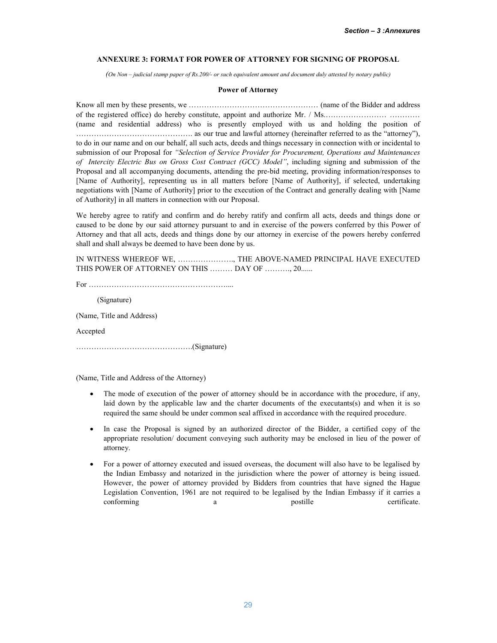### ANNEXURE 3: FORMAT FOR POWER OF ATTORNEY FOR SIGNING OF PROPOSAL

*(On Non – judicial stamp paper of Rs.200/- or such equivalent amount and document duly attested by notary public)*

### Power of Attorney

Know all men by these presents, we …………………………………………… (name of the Bidder and address of the registered office) do hereby constitute, appoint and authorize Mr. / Ms.…………………… ………… (name and residential address) who is presently employed with us and holding the position of ………………………………………. as our true and lawful attorney (hereinafter referred to as the "attorney"), to do in our name and on our behalf, all such acts, deeds and things necessary in connection with or incidental to submission of our Proposal for *"Selection of Service Provider for Procurement, Operations and Maintenances of Intercity Electric Bus on Gross Cost Contract (GCC) Model"*, including signing and submission of the Proposal and all accompanying documents, attending the pre-bid meeting, providing information/responses to [Name of Authority], representing us in all matters before [Name of Authority], if selected, undertaking negotiations with [Name of Authority] prior to the execution of the Contract and generally dealing with [Name of Authority] in all matters in connection with our Proposal.

We hereby agree to ratify and confirm and do hereby ratify and confirm all acts, deeds and things done or caused to be done by our said attorney pursuant to and in exercise of the powers conferred by this Power of Attorney and that all acts, deeds and things done by our attorney in exercise of the powers hereby conferred shall and shall always be deemed to have been done by us.

IN WITNESS WHEREOF WE, …………………., THE ABOVE-NAMED PRINCIPAL HAVE EXECUTED THIS POWER OF ATTORNEY ON THIS ......... DAY OF .........., 20......

For ………………………………………………....

(Signature)

(Name, Title and Address)

Accepted

……………………………………….(Signature)

(Name, Title and Address of the Attorney)

- The mode of execution of the power of attorney should be in accordance with the procedure, if any, laid down by the applicable law and the charter documents of the executants(s) and when it is so required the same should be under common seal affixed in accordance with the required procedure.
- In case the Proposal is signed by an authorized director of the Bidder, a certified copy of the appropriate resolution/ document conveying such authority may be enclosed in lieu of the power of attorney.
- For a power of attorney executed and issued overseas, the document will also have to be legalised by the Indian Embassy and notarized in the jurisdiction where the power of attorney is being issued. However, the power of attorney provided by Bidders from countries that have signed the Hague Legislation Convention, 1961 are not required to be legalised by the Indian Embassy if it carries a conforming a a postille certificate.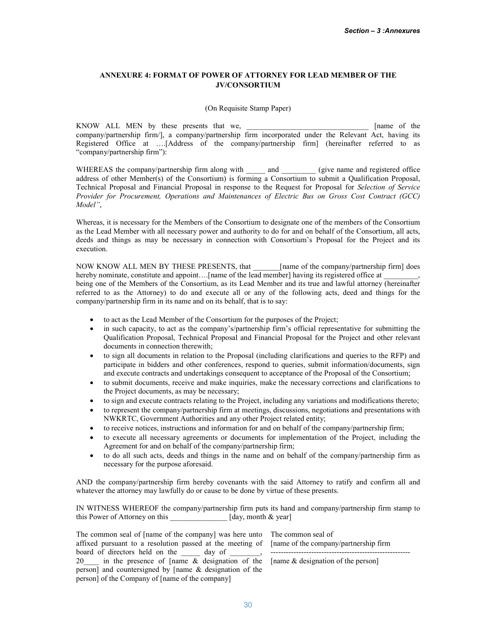# ANNEXURE 4: FORMAT OF POWER OF ATTORNEY FOR LEAD MEMBER OF THE JV/CONSORTIUM

(On Requisite Stamp Paper)

KNOW ALL MEN by these presents that we, and the set of the set of the set of the set of the set of the set of the set of the set of the set of the set of the set of the set of the set of the set of the set of the set of th company/partnership firm/], a company/partnership firm incorporated under the Relevant Act, having its Registered Office at ….[Address of the company/partnership firm] (hereinafter referred to as "company/partnership firm"):

WHEREAS the company/partnership firm along with \_\_\_\_\_\_ and \_\_\_\_\_\_\_\_ (give name and registered office address of other Member(s) of the Consortium) is forming a Consortium to submit a Qualification Proposal, Technical Proposal and Financial Proposal in response to the Request for Proposal for *Selection of Service Provider for Procurement, Operations and Maintenances of Electric Bus on Gross Cost Contract (GCC) Model"*,

Whereas, it is necessary for the Members of the Consortium to designate one of the members of the Consortium as the Lead Member with all necessary power and authority to do for and on behalf of the Consortium, all acts, deeds and things as may be necessary in connection with Consortium's Proposal for the Project and its execution.

NOW KNOW ALL MEN BY THESE PRESENTS, that [name of the company/partnership firm] does hereby nominate, constitute and appoint....[name of the lead member] having its registered office at being one of the Members of the Consortium, as its Lead Member and its true and lawful attorney (hereinafter referred to as the Attorney) to do and execute all or any of the following acts, deed and things for the company/partnership firm in its name and on its behalf, that is to say:

- to act as the Lead Member of the Consortium for the purposes of the Project;
- in such capacity, to act as the company's/partnership firm's official representative for submitting the Qualification Proposal, Technical Proposal and Financial Proposal for the Project and other relevant documents in connection therewith;
- to sign all documents in relation to the Proposal (including clarifications and queries to the RFP) and participate in bidders and other conferences, respond to queries, submit information/documents, sign and execute contracts and undertakings consequent to acceptance of the Proposal of the Consortium;
- to submit documents, receive and make inquiries, make the necessary corrections and clarifications to the Project documents, as may be necessary;
- to sign and execute contracts relating to the Project, including any variations and modifications thereto;
- to represent the company/partnership firm at meetings, discussions, negotiations and presentations with NWKRTC, Government Authorities and any other Project related entity;
- to receive notices, instructions and information for and on behalf of the company/partnership firm;
- to execute all necessary agreements or documents for implementation of the Project, including the Agreement for and on behalf of the company/partnership firm;
- to do all such acts, deeds and things in the name and on behalf of the company/partnership firm as necessary for the purpose aforesaid.

AND the company/partnership firm hereby covenants with the said Attorney to ratify and confirm all and whatever the attorney may lawfully do or cause to be done by virtue of these presents.

IN WITNESS WHEREOF the company/partnership firm puts its hand and company/partnership firm stamp to this Power of Attorney on this [day, month & year]

The common seal of [name of the company] was here unto The common seal of affixed pursuant to a resolution passed at the meeting of [name of the company/partnership firm board of directors held on the <u>equal</u> day of <u>equal</u>, 20\_\_\_\_ in the presence of [name & designation of the person] and countersigned by [name & designation of the person] of the Company of [name of the company]

-------------------------------------------------------

[name & designation of the person]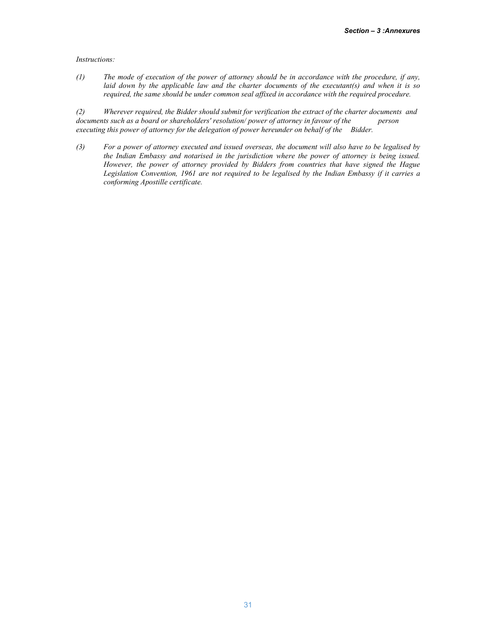*Instructions:*

*(1) The mode of execution of the power of attorney should be in accordance with the procedure, if any, laid down by the applicable law and the charter documents of the executant(s) and when it is so required, the same should be under common seal affixed in accordance with the required procedure.*

*(2) Wherever required, the Bidder should submit for verification the extract of the charter documents and*  documents such as a board or shareholders' resolution/ power of attorney in favour of the *executing this power of attorney for the delegation of power hereunder on behalf of the Bidder.*

*(3) For a power of attorney executed and issued overseas, the document will also have to be legalised by the Indian Embassy and notarised in the jurisdiction where the power of attorney is being issued. However, the power of attorney provided by Bidders from countries that have signed the Hague Legislation Convention, 1961 are not required to be legalised by the Indian Embassy if it carries a conforming Apostille certificate.*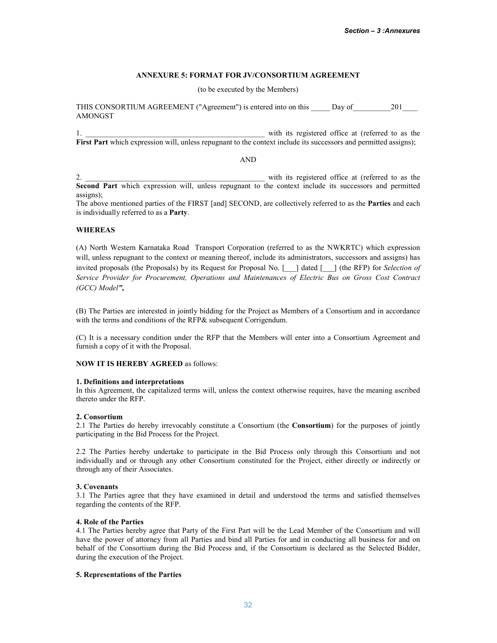### ANNEXURE 5: FORMAT FOR JV/CONSORTIUM AGREEMENT

(to be executed by the Members)

THIS CONSORTIUM AGREEMENT ("Agreement") is entered into on this Day of 201 AMONGST

1. \_\_\_\_\_\_\_\_\_\_\_\_\_\_\_\_\_\_\_\_\_\_\_\_\_\_\_\_\_\_\_\_\_\_\_\_\_\_\_\_\_\_\_\_\_\_\_ with its registered office at (referred to as the First Part which expression will, unless repugnant to the context include its successors and permitted assigns);

AND

2.  $\Box$  with its registered office at (referred to as the Second Part which expression will, unless repugnant to the context include its successors and permitted assigns);

The above mentioned parties of the FIRST [and] SECOND, are collectively referred to as the Parties and each is individually referred to as a Party.

### WHEREAS

(A) North Western Karnataka Road Transport Corporation (referred to as the NWKRTC) which expression will, unless repugnant to the context or meaning thereof, include its administrators, successors and assigns) has invited proposals (the Proposals) by its Request for Proposal No. [\_\_\_] dated [\_\_\_] (the RFP) for *Selection of Service Provider for Procurement, Operations and Maintenances of Electric Bus on Gross Cost Contract (GCC) Model"*,

(B) The Parties are interested in jointly bidding for the Project as Members of a Consortium and in accordance with the terms and conditions of the RFP& subsequent Corrigendum.

(C) It is a necessary condition under the RFP that the Members will enter into a Consortium Agreement and furnish a copy of it with the Proposal.

### NOW IT IS HEREBY AGREED as follows:

### 1. Definitions and interpretations

In this Agreement, the capitalized terms will, unless the context otherwise requires, have the meaning ascribed thereto under the RFP.

### 2. Consortium

2.1 The Parties do hereby irrevocably constitute a Consortium (the **Consortium**) for the purposes of jointly participating in the Bid Process for the Project.

2.2 The Parties hereby undertake to participate in the Bid Process only through this Consortium and not individually and or through any other Consortium constituted for the Project, either directly or indirectly or through any of their Associates.

### 3. Covenants

3.1 The Parties agree that they have examined in detail and understood the terms and satisfied themselves regarding the contents of the RFP.

### 4. Role of the Parties

4.1 The Parties hereby agree that Party of the First Part will be the Lead Member of the Consortium and will have the power of attorney from all Parties and bind all Parties for and in conducting all business for and on behalf of the Consortium during the Bid Process and, if the Consortium is declared as the Selected Bidder, during the execution of the Project.

### 5. Representations of the Parties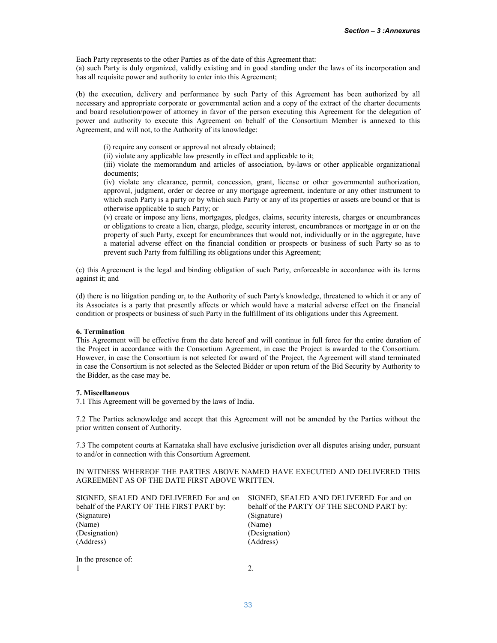Each Party represents to the other Parties as of the date of this Agreement that:

(a) such Party is duly organized, validly existing and in good standing under the laws of its incorporation and has all requisite power and authority to enter into this Agreement;

(b) the execution, delivery and performance by such Party of this Agreement has been authorized by all necessary and appropriate corporate or governmental action and a copy of the extract of the charter documents and board resolution/power of attorney in favor of the person executing this Agreement for the delegation of power and authority to execute this Agreement on behalf of the Consortium Member is annexed to this Agreement, and will not, to the Authority of its knowledge:

(i) require any consent or approval not already obtained;

(ii) violate any applicable law presently in effect and applicable to it;

(iii) violate the memorandum and articles of association, by-laws or other applicable organizational documents;

(iv) violate any clearance, permit, concession, grant, license or other governmental authorization, approval, judgment, order or decree or any mortgage agreement, indenture or any other instrument to which such Party is a party or by which such Party or any of its properties or assets are bound or that is otherwise applicable to such Party; or

(v) create or impose any liens, mortgages, pledges, claims, security interests, charges or encumbrances or obligations to create a lien, charge, pledge, security interest, encumbrances or mortgage in or on the property of such Party, except for encumbrances that would not, individually or in the aggregate, have a material adverse effect on the financial condition or prospects or business of such Party so as to prevent such Party from fulfilling its obligations under this Agreement;

(c) this Agreement is the legal and binding obligation of such Party, enforceable in accordance with its terms against it; and

(d) there is no litigation pending or, to the Authority of such Party's knowledge, threatened to which it or any of its Associates is a party that presently affects or which would have a material adverse effect on the financial condition or prospects or business of such Party in the fulfillment of its obligations under this Agreement.

### 6. Termination

This Agreement will be effective from the date hereof and will continue in full force for the entire duration of the Project in accordance with the Consortium Agreement, in case the Project is awarded to the Consortium. However, in case the Consortium is not selected for award of the Project, the Agreement will stand terminated in case the Consortium is not selected as the Selected Bidder or upon return of the Bid Security by Authority to the Bidder, as the case may be.

### 7. Miscellaneous

7.1 This Agreement will be governed by the laws of India.

7.2 The Parties acknowledge and accept that this Agreement will not be amended by the Parties without the prior written consent of Authority.

7.3 The competent courts at Karnataka shall have exclusive jurisdiction over all disputes arising under, pursuant to and/or in connection with this Consortium Agreement.

### IN WITNESS WHEREOF THE PARTIES ABOVE NAMED HAVE EXECUTED AND DELIVERED THIS AGREEMENT AS OF THE DATE FIRST ABOVE WRITTEN.

| SIGNED, SEALED AND DELIVERED For and on   | SIGNED, SEALED AND DELIVERED For and on    |
|-------------------------------------------|--------------------------------------------|
| behalf of the PARTY OF THE FIRST PART by: | behalf of the PARTY OF THE SECOND PART by: |
| (Signature)                               | (Signature)                                |
| (Name)                                    | (Name)                                     |
| (Designation)                             | (Designation)                              |
| (Address)                                 | (Address)                                  |
| In the presence of:                       |                                            |
|                                           |                                            |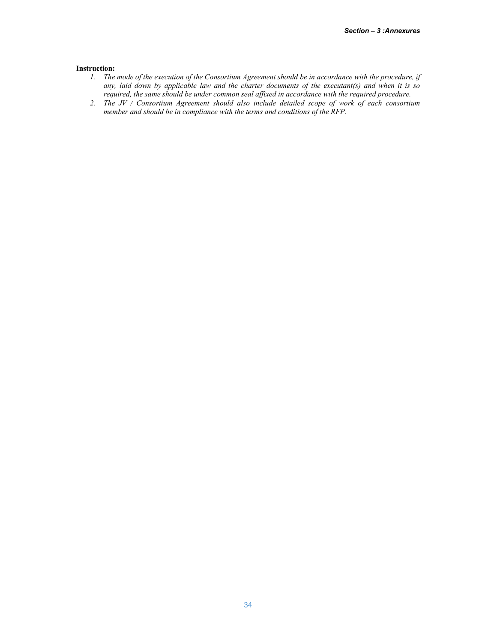#### Instruction:

- *1. The mode of the execution of the Consortium Agreement should be in accordance with the procedure, if any, laid down by applicable law and the charter documents of the executant(s) and when it is so required, the same should be under common seal affixed in accordance with the required procedure.*
- *2. The JV / Consortium Agreement should also include detailed scope of work of each consortium member and should be in compliance with the terms and conditions of the RFP.*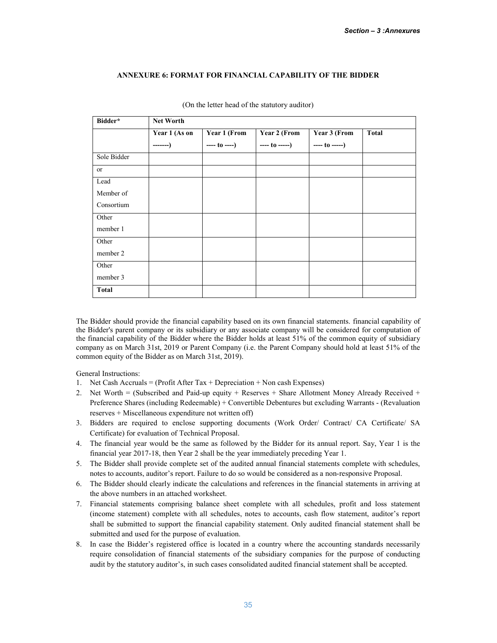### ANNEXURE 6: FORMAT FOR FINANCIAL CAPABILITY OF THE BIDDER

| Bidder*      | <b>Net Worth</b> |              |              |              |              |
|--------------|------------------|--------------|--------------|--------------|--------------|
|              | Year 1 (As on    | Year 1 (From | Year 2 (From | Year 3 (From | <b>Total</b> |
|              | $---$            | $--- to ---$ | $--- to ---$ | $--- to ---$ |              |
| Sole Bidder  |                  |              |              |              |              |
| or           |                  |              |              |              |              |
| Lead         |                  |              |              |              |              |
| Member of    |                  |              |              |              |              |
| Consortium   |                  |              |              |              |              |
| Other        |                  |              |              |              |              |
| member 1     |                  |              |              |              |              |
| Other        |                  |              |              |              |              |
| member 2     |                  |              |              |              |              |
| Other        |                  |              |              |              |              |
| member 3     |                  |              |              |              |              |
| <b>Total</b> |                  |              |              |              |              |

(On the letter head of the statutory auditor)

The Bidder should provide the financial capability based on its own financial statements. financial capability of the Bidder's parent company or its subsidiary or any associate company will be considered for computation of the financial capability of the Bidder where the Bidder holds at least 51% of the common equity of subsidiary company as on March 31st, 2019 or Parent Company (i.e. the Parent Company should hold at least 51% of the common equity of the Bidder as on March 31st, 2019).

General Instructions:

- 1. Net Cash Accruals = (Profit After Tax + Depreciation + Non cash Expenses)
- 2. Net Worth = (Subscribed and Paid-up equity + Reserves + Share Allotment Money Already Received + Preference Shares (including Redeemable) + Convertible Debentures but excluding Warrants - (Revaluation reserves + Miscellaneous expenditure not written off)
- 3. Bidders are required to enclose supporting documents (Work Order/ Contract/ CA Certificate/ SA Certificate) for evaluation of Technical Proposal.
- 4. The financial year would be the same as followed by the Bidder for its annual report. Say, Year 1 is the financial year 2017-18, then Year 2 shall be the year immediately preceding Year 1.
- 5. The Bidder shall provide complete set of the audited annual financial statements complete with schedules, notes to accounts, auditor's report. Failure to do so would be considered as a non-responsive Proposal.
- 6. The Bidder should clearly indicate the calculations and references in the financial statements in arriving at the above numbers in an attached worksheet.
- 7. Financial statements comprising balance sheet complete with all schedules, profit and loss statement (income statement) complete with all schedules, notes to accounts, cash flow statement, auditor's report shall be submitted to support the financial capability statement. Only audited financial statement shall be submitted and used for the purpose of evaluation.
- 8. In case the Bidder's registered office is located in a country where the accounting standards necessarily require consolidation of financial statements of the subsidiary companies for the purpose of conducting audit by the statutory auditor's, in such cases consolidated audited financial statement shall be accepted.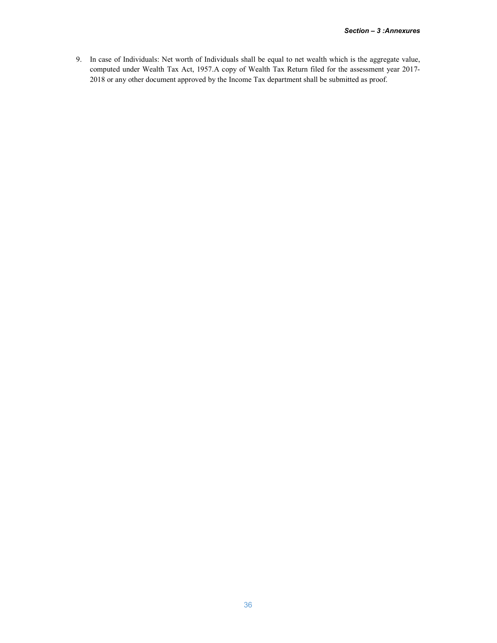9. In case of Individuals: Net worth of Individuals shall be equal to net wealth which is the aggregate value, computed under Wealth Tax Act, 1957.A copy of Wealth Tax Return filed for the assessment year 2017- 2018 or any other document approved by the Income Tax department shall be submitted as proof.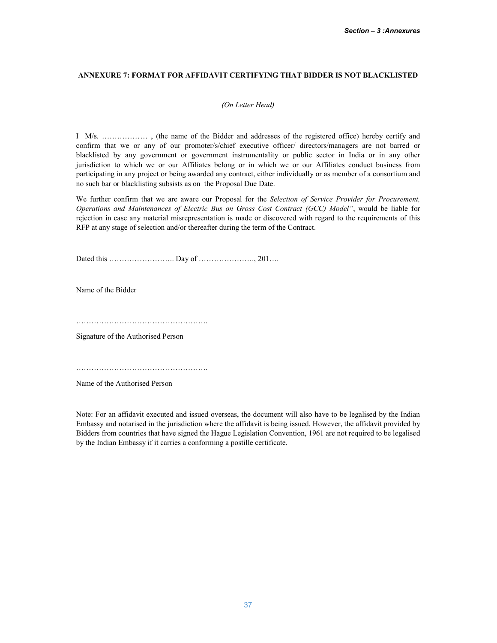# ANNEXURE 7: FORMAT FOR AFFIDAVIT CERTIFYING THAT BIDDER IS NOT BLACKLISTED

### *(On Letter Head)*

I M/s. ……………… , (the name of the Bidder and addresses of the registered office) hereby certify and confirm that we or any of our promoter/s/chief executive officer/ directors/managers are not barred or blacklisted by any government or government instrumentality or public sector in India or in any other jurisdiction to which we or our Affiliates belong or in which we or our Affiliates conduct business from participating in any project or being awarded any contract, either individually or as member of a consortium and no such bar or blacklisting subsists as on the Proposal Due Date.

We further confirm that we are aware our Proposal for the *Selection of Service Provider for Procurement, Operations and Maintenances of Electric Bus on Gross Cost Contract (GCC) Model"*, would be liable for rejection in case any material misrepresentation is made or discovered with regard to the requirements of this RFP at any stage of selection and/or thereafter during the term of the Contract.

Dated this …………………….. Day of …………………., 201….

Name of the Bidder

…………………………………………….

Signature of the Authorised Person

…………………………………………….

Name of the Authorised Person

Note: For an affidavit executed and issued overseas, the document will also have to be legalised by the Indian Embassy and notarised in the jurisdiction where the affidavit is being issued. However, the affidavit provided by Bidders from countries that have signed the Hague Legislation Convention, 1961 are not required to be legalised by the Indian Embassy if it carries a conforming a postille certificate.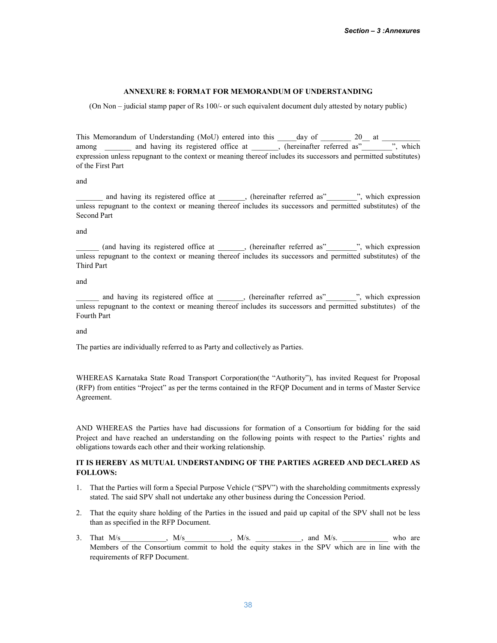### ANNEXURE 8: FORMAT FOR MEMORANDUM OF UNDERSTANDING

(On Non – judicial stamp paper of Rs 100/- or such equivalent document duly attested by notary public)

This Memorandum of Understanding (MoU) entered into this  $\frac{1}{\frac{1}{\frac{1}{\frac{1}{\sqrt{1}}}}$  as  $\frac{20}{\frac{1}{\frac{1}{\sqrt{1}}}}$  at  $\frac{1}{\frac{1}{\frac{1}{\sqrt{1}}}}$  and having its registered office at among \_\_\_\_\_\_\_ and having its registered office at \_\_\_\_\_\_, (hereinafter referred as"\_\_\_\_ expression unless repugnant to the context or meaning thereof includes its successors and permitted substitutes) of the First Part

and

and having its registered office at \_\_\_\_\_, (hereinafter referred as"\_\_\_\_\_\_\_", which expression unless repugnant to the context or meaning thereof includes its successors and permitted substitutes) of the Second Part

and

(and having its registered office at  $\qquad$ , (hereinafter referred as"\_\_\_\_\_\_\_\_", which expression unless repugnant to the context or meaning thereof includes its successors and permitted substitutes) of the Third Part

and

\_\_\_\_\_\_ and having its registered office at \_\_\_\_\_\_\_, (hereinafter referred as"\_\_\_\_\_\_\_\_", which expression unless repugnant to the context or meaning thereof includes its successors and permitted substitutes) of the Fourth Part

and

The parties are individually referred to as Party and collectively as Parties.

WHEREAS Karnataka State Road Transport Corporation(the "Authority"), has invited Request for Proposal (RFP) from entities "Project" as per the terms contained in the RFQP Document and in terms of Master Service Agreement.

AND WHEREAS the Parties have had discussions for formation of a Consortium for bidding for the said Project and have reached an understanding on the following points with respect to the Parties' rights and obligations towards each other and their working relationship.

# IT IS HEREBY AS MUTUAL UNDERSTANDING OF THE PARTIES AGREED AND DECLARED AS FOLLOWS:

- 1. That the Parties will form a Special Purpose Vehicle ("SPV") with the shareholding commitments expressly stated. The said SPV shall not undertake any other business during the Concession Period.
- 2. That the equity share holding of the Parties in the issued and paid up capital of the SPV shall not be less than as specified in the RFP Document.
- 3. That  $M/s$   $M/s$   $M/s$   $M/s$ .  $M/s$ .  $M/s$ .  $M/s$ .  $M/s$ . Members of the Consortium commit to hold the equity stakes in the SPV which are in line with the requirements of RFP Document.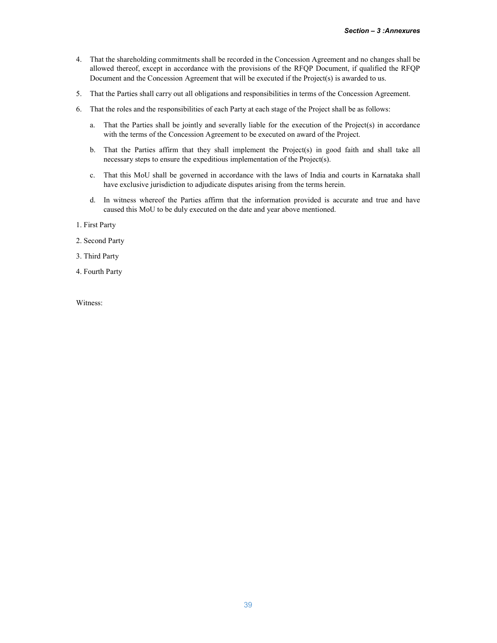- 4. That the shareholding commitments shall be recorded in the Concession Agreement and no changes shall be allowed thereof, except in accordance with the provisions of the RFQP Document, if qualified the RFQP Document and the Concession Agreement that will be executed if the Project(s) is awarded to us.
- 5. That the Parties shall carry out all obligations and responsibilities in terms of the Concession Agreement.
- 6. That the roles and the responsibilities of each Party at each stage of the Project shall be as follows:
	- a. That the Parties shall be jointly and severally liable for the execution of the Project(s) in accordance with the terms of the Concession Agreement to be executed on award of the Project.
	- b. That the Parties affirm that they shall implement the Project(s) in good faith and shall take all necessary steps to ensure the expeditious implementation of the Project(s).
	- c. That this MoU shall be governed in accordance with the laws of India and courts in Karnataka shall have exclusive jurisdiction to adjudicate disputes arising from the terms herein.
	- d. In witness whereof the Parties affirm that the information provided is accurate and true and have caused this MoU to be duly executed on the date and year above mentioned.
- 1. First Party
- 2. Second Party
- 3. Third Party
- 4. Fourth Party

Witness: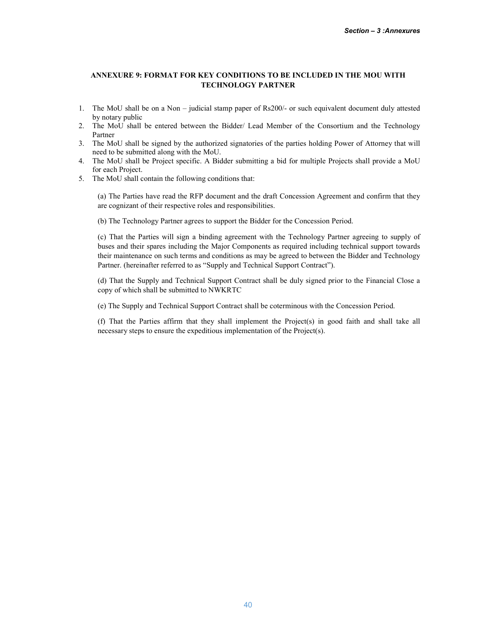# ANNEXURE 9: FORMAT FOR KEY CONDITIONS TO BE INCLUDED IN THE MOU WITH TECHNOLOGY PARTNER

- 1. The MoU shall be on a Non judicial stamp paper of Rs200/- or such equivalent document duly attested by notary public
- 2. The MoU shall be entered between the Bidder/ Lead Member of the Consortium and the Technology Partner
- 3. The MoU shall be signed by the authorized signatories of the parties holding Power of Attorney that will need to be submitted along with the MoU.
- 4. The MoU shall be Project specific. A Bidder submitting a bid for multiple Projects shall provide a MoU for each Project.
- 5. The MoU shall contain the following conditions that:

(a) The Parties have read the RFP document and the draft Concession Agreement and confirm that they are cognizant of their respective roles and responsibilities.

(b) The Technology Partner agrees to support the Bidder for the Concession Period.

(c) That the Parties will sign a binding agreement with the Technology Partner agreeing to supply of buses and their spares including the Major Components as required including technical support towards their maintenance on such terms and conditions as may be agreed to between the Bidder and Technology Partner. (hereinafter referred to as "Supply and Technical Support Contract").

(d) That the Supply and Technical Support Contract shall be duly signed prior to the Financial Close a copy of which shall be submitted to NWKRTC

(e) The Supply and Technical Support Contract shall be coterminous with the Concession Period.

(f) That the Parties affirm that they shall implement the Project(s) in good faith and shall take all necessary steps to ensure the expeditious implementation of the Project(s).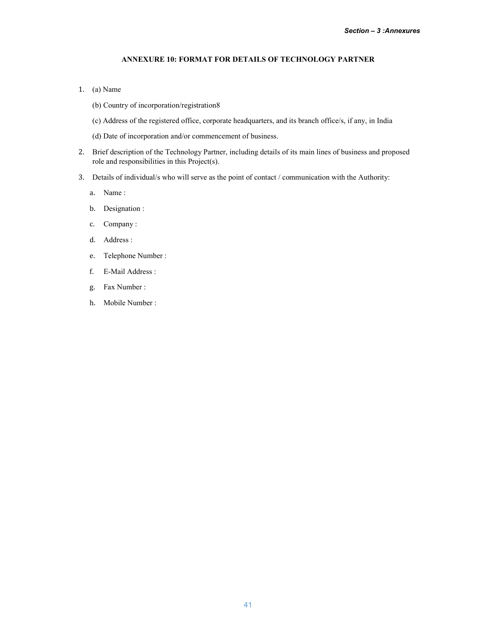# ANNEXURE 10: FORMAT FOR DETAILS OF TECHNOLOGY PARTNER

- 1. (a) Name
	- (b) Country of incorporation/registration8
	- (c) Address of the registered office, corporate headquarters, and its branch office/s, if any, in India
	- (d) Date of incorporation and/or commencement of business.
- 2. Brief description of the Technology Partner, including details of its main lines of business and proposed role and responsibilities in this Project(s).
- 3. Details of individual/s who will serve as the point of contact / communication with the Authority:
	- a. Name :
	- b. Designation :
	- c. Company :
	- d. Address :
	- e. Telephone Number :
	- f. E-Mail Address :
	- g. Fax Number :
	- h. Mobile Number :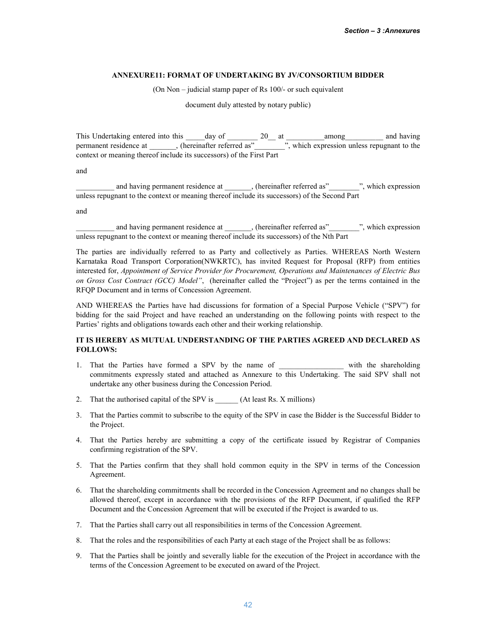### ANNEXURE11: FORMAT OF UNDERTAKING BY JV/CONSORTIUM BIDDER

(On Non – judicial stamp paper of Rs 100/- or such equivalent

document duly attested by notary public)

This Undertaking entered into this \_\_\_\_\_day of \_\_\_\_\_\_\_\_ 20\_\_ at \_\_\_\_\_\_\_\_\_\_among\_\_\_\_\_\_\_\_\_\_ and having permanent residence at \_\_\_\_\_\_\_, (hereinafter referred as"\_\_\_\_\_\_\_\_", which expression unless repugnant to the context or meaning thereof include its successors) of the First Part

and

\_\_\_\_\_\_\_\_\_\_ and having permanent residence at \_\_\_\_\_\_\_, (hereinafter referred as"\_\_\_\_\_\_\_\_", which expression unless repugnant to the context or meaning thereof include its successors) of the Second Part

and

and having permanent residence at \_\_\_\_\_\_, (hereinafter referred as"\_\_\_\_\_\_\_", which expression unless repugnant to the context or meaning thereof include its successors) of the Nth Part

The parties are individually referred to as Party and collectively as Parties. WHEREAS North Western Karnataka Road Transport Corporation(NWKRTC), has invited Request for Proposal (RFP) from entities interested for, *Appointment of Service Provider for Procurement, Operations and Maintenances of Electric Bus on Gross Cost Contract (GCC) Model"*, (hereinafter called the "Project") as per the terms contained in the RFQP Document and in terms of Concession Agreement.

AND WHEREAS the Parties have had discussions for formation of a Special Purpose Vehicle ("SPV") for bidding for the said Project and have reached an understanding on the following points with respect to the Parties' rights and obligations towards each other and their working relationship.

# IT IS HEREBY AS MUTUAL UNDERSTANDING OF THE PARTIES AGREED AND DECLARED AS FOLLOWS:

- 1. That the Parties have formed a SPV by the name of \_\_\_\_\_\_\_\_\_\_\_\_\_\_\_\_\_ with the shareholding commitments expressly stated and attached as Annexure to this Undertaking. The said SPV shall not undertake any other business during the Concession Period.
- 2. That the authorised capital of the SPV is (At least Rs. X millions)
- 3. That the Parties commit to subscribe to the equity of the SPV in case the Bidder is the Successful Bidder to the Project.
- 4. That the Parties hereby are submitting a copy of the certificate issued by Registrar of Companies confirming registration of the SPV.
- 5. That the Parties confirm that they shall hold common equity in the SPV in terms of the Concession Agreement.
- 6. That the shareholding commitments shall be recorded in the Concession Agreement and no changes shall be allowed thereof, except in accordance with the provisions of the RFP Document, if qualified the RFP Document and the Concession Agreement that will be executed if the Project is awarded to us.
- 7. That the Parties shall carry out all responsibilities in terms of the Concession Agreement.
- 8. That the roles and the responsibilities of each Party at each stage of the Project shall be as follows:
- 9. That the Parties shall be jointly and severally liable for the execution of the Project in accordance with the terms of the Concession Agreement to be executed on award of the Project.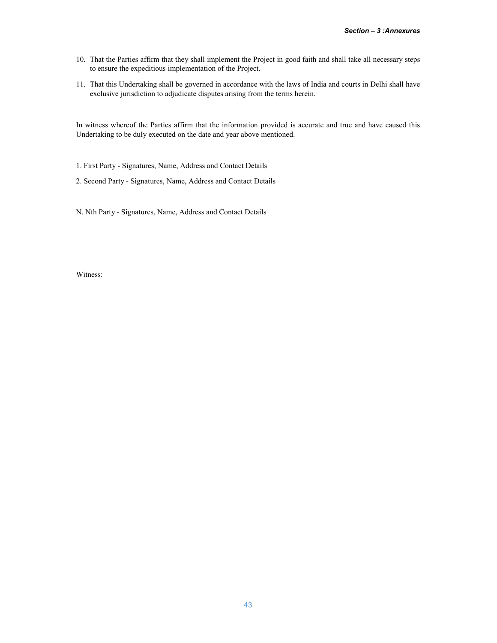- 10. That the Parties affirm that they shall implement the Project in good faith and shall take all necessary steps to ensure the expeditious implementation of the Project.
- 11. That this Undertaking shall be governed in accordance with the laws of India and courts in Delhi shall have exclusive jurisdiction to adjudicate disputes arising from the terms herein.

In witness whereof the Parties affirm that the information provided is accurate and true and have caused this Undertaking to be duly executed on the date and year above mentioned.

1. First Party - Signatures, Name, Address and Contact Details

2. Second Party - Signatures, Name, Address and Contact Details

N. Nth Party - Signatures, Name, Address and Contact Details

Witness: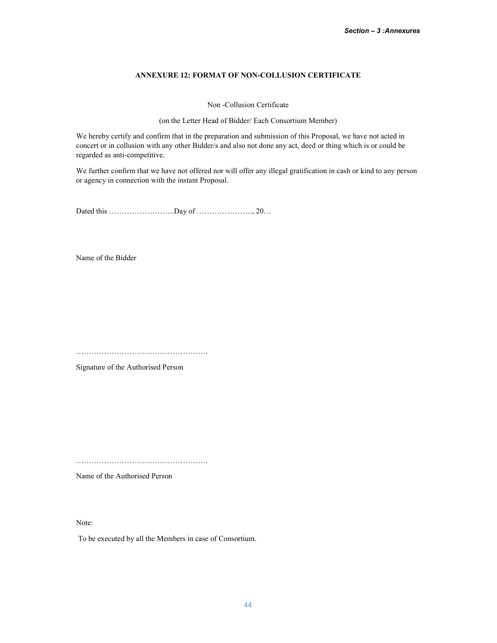# ANNEXURE 12: FORMAT OF NON-COLLUSION CERTIFICATE

Non -Collusion Certificate

(on the Letter Head of Bidder/ Each Consortium Member)

We hereby certify and confirm that in the preparation and submission of this Proposal, we have not acted in concert or in collusion with any other Bidder/s and also not done any act, deed or thing which is or could be regarded as anti-competitive.

We further confirm that we have not offered nor will offer any illegal gratification in cash or kind to any person or agency in connection with the instant Proposal.

Dated this ……………………..Day of …………………., 20…

Name of the Bidder

…………………………………………….

Signature of the Authorised Person

…………………………………………….

Name of the Authorised Person

Note:

To be executed by all the Members in case of Consortium.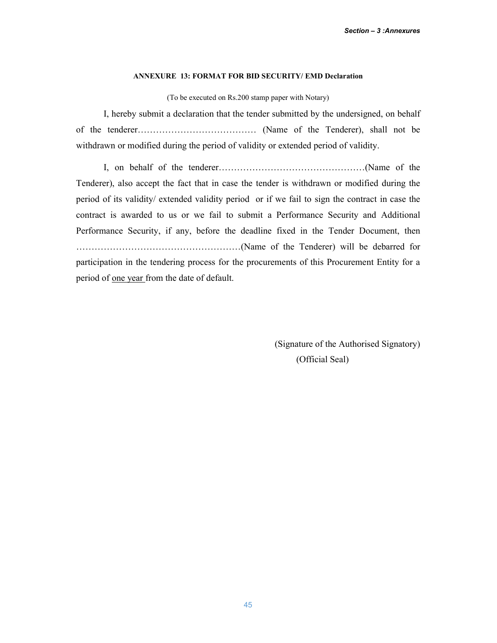# ANNEXURE 13: FORMAT FOR BID SECURITY/ EMD Declaration

(To be executed on Rs.200 stamp paper with Notary)

I, hereby submit a declaration that the tender submitted by the undersigned, on behalf of the tenderer………………………………… (Name of the Tenderer), shall not be withdrawn or modified during the period of validity or extended period of validity.

I, on behalf of the tenderer…………………………………………(Name of the Tenderer), also accept the fact that in case the tender is withdrawn or modified during the period of its validity/ extended validity period or if we fail to sign the contract in case the contract is awarded to us or we fail to submit a Performance Security and Additional Performance Security, if any, before the deadline fixed in the Tender Document, then ………………………………………………(Name of the Tenderer) will be debarred for participation in the tendering process for the procurements of this Procurement Entity for a period of one year from the date of default.

> (Signature of the Authorised Signatory) (Official Seal)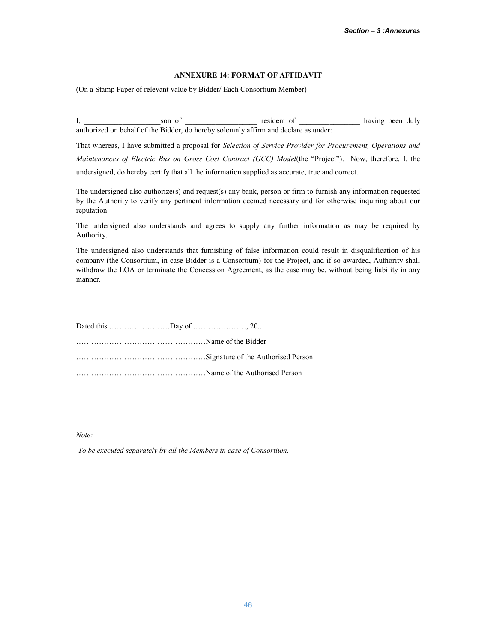### ANNEXURE 14: FORMAT OF AFFIDAVIT

(On a Stamp Paper of relevant value by Bidder/ Each Consortium Member)

I, \_\_\_\_\_\_\_\_\_\_\_\_\_\_\_\_\_\_\_\_son of \_\_\_\_\_\_\_\_\_\_\_\_\_\_\_\_\_\_\_ resident of \_\_\_\_\_\_\_\_\_\_\_\_\_\_\_\_ having been duly authorized on behalf of the Bidder, do hereby solemnly affirm and declare as under:

That whereas, I have submitted a proposal for *Selection of Service Provider for Procurement, Operations and Maintenances of Electric Bus on Gross Cost Contract (GCC) Model*(the "Project"). Now, therefore, I, the undersigned, do hereby certify that all the information supplied as accurate, true and correct.

The undersigned also authorize(s) and request(s) any bank, person or firm to furnish any information requested by the Authority to verify any pertinent information deemed necessary and for otherwise inquiring about our reputation.

The undersigned also understands and agrees to supply any further information as may be required by Authority.

The undersigned also understands that furnishing of false information could result in disqualification of his company (the Consortium, in case Bidder is a Consortium) for the Project, and if so awarded, Authority shall withdraw the LOA or terminate the Concession Agreement, as the case may be, without being liability in any manner.

*Note:* 

*To be executed separately by all the Members in case of Consortium.*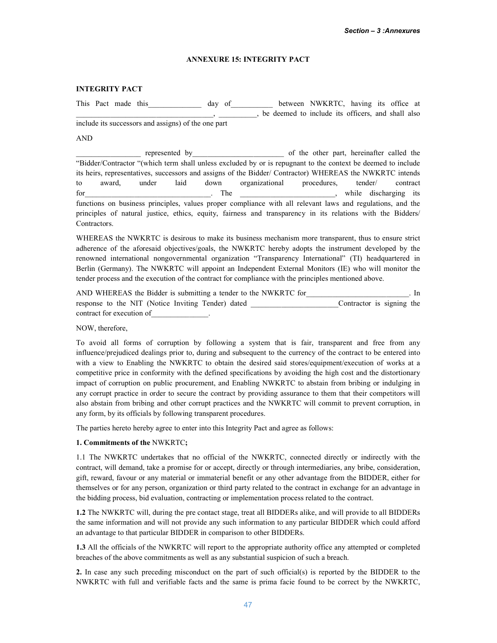### ANNEXURE 15: INTEGRITY PACT

### INTEGRITY PACT

This Pact made this and the day of the between NWKRTC, having its office at \_\_\_\_\_\_\_\_\_\_\_\_\_\_\_\_\_\_\_\_\_\_\_\_\_\_\_\_\_\_\_\_\_\_\_\_, \_\_\_\_\_\_\_\_\_\_, be deemed to include its officers, and shall also include its successors and assigns) of the one part

### AND

represented by of the other part, hereinafter called the "Bidder/Contractor "(which term shall unless excluded by or is repugnant to the context be deemed to include its heirs, representatives, successors and assigns of the Bidder/ Contractor) WHEREAS the NWKRTC intends to award, under laid down organizational procedures, tender/ contract for the contract of the contract of the contract of the contract of the contract of the contract of the contract of the contract of the contract of the contract of the contract of the contract of the contract of the contra functions on business principles, values proper compliance with all relevant laws and regulations, and the principles of natural justice, ethics, equity, fairness and transparency in its relations with the Bidders/ Contractors.

WHEREAS the NWKRTC is desirous to make its business mechanism more transparent, thus to ensure strict adherence of the aforesaid objectives/goals, the NWKRTC hereby adopts the instrument developed by the renowned international nongovernmental organization "Transparency International" (TI) headquartered in Berlin (Germany). The NWKRTC will appoint an Independent External Monitors (IE) who will monitor the tender process and the execution of the contract for compliance with the principles mentioned above.

| AND WHEREAS the Bidder is submitting a tender to the NWKRTC for |                           |  |  |
|-----------------------------------------------------------------|---------------------------|--|--|
| response to the NIT (Notice Inviting Tender) dated              | Contractor is signing the |  |  |
| contract for execution of                                       |                           |  |  |

NOW, therefore,

To avoid all forms of corruption by following a system that is fair, transparent and free from any influence/prejudiced dealings prior to, during and subsequent to the currency of the contract to be entered into with a view to Enabling the NWKRTC to obtain the desired said stores/equipment/execution of works at a competitive price in conformity with the defined specifications by avoiding the high cost and the distortionary impact of corruption on public procurement, and Enabling NWKRTC to abstain from bribing or indulging in any corrupt practice in order to secure the contract by providing assurance to them that their competitors will also abstain from bribing and other corrupt practices and the NWKRTC will commit to prevent corruption, in any form, by its officials by following transparent procedures.

The parties hereto hereby agree to enter into this Integrity Pact and agree as follows:

### 1. Commitments of the NWKRTC;

1.1 The NWKRTC undertakes that no official of the NWKRTC, connected directly or indirectly with the contract, will demand, take a promise for or accept, directly or through intermediaries, any bribe, consideration, gift, reward, favour or any material or immaterial benefit or any other advantage from the BIDDER, either for themselves or for any person, organization or third party related to the contract in exchange for an advantage in the bidding process, bid evaluation, contracting or implementation process related to the contract.

1.2 The NWKRTC will, during the pre contact stage, treat all BIDDERs alike, and will provide to all BIDDERs the same information and will not provide any such information to any particular BIDDER which could afford an advantage to that particular BIDDER in comparison to other BIDDERs.

1.3 All the officials of the NWKRTC will report to the appropriate authority office any attempted or completed breaches of the above commitments as well as any substantial suspicion of such a breach.

2. In case any such preceding misconduct on the part of such official(s) is reported by the BIDDER to the NWKRTC with full and verifiable facts and the same is prima facie found to be correct by the NWKRTC,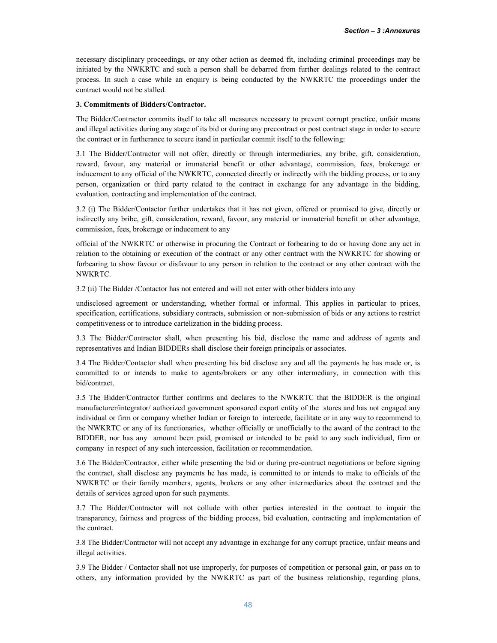necessary disciplinary proceedings, or any other action as deemed fit, including criminal proceedings may be initiated by the NWKRTC and such a person shall be debarred from further dealings related to the contract process. In such a case while an enquiry is being conducted by the NWKRTC the proceedings under the contract would not be stalled.

### 3. Commitments of Bidders/Contractor.

The Bidder/Contractor commits itself to take all measures necessary to prevent corrupt practice, unfair means and illegal activities during any stage of its bid or during any precontract or post contract stage in order to secure the contract or in furtherance to secure itand in particular commit itself to the following:

3.1 The Bidder/Contractor will not offer, directly or through intermediaries, any bribe, gift, consideration, reward, favour, any material or immaterial benefit or other advantage, commission, fees, brokerage or inducement to any official of the NWKRTC, connected directly or indirectly with the bidding process, or to any person, organization or third party related to the contract in exchange for any advantage in the bidding, evaluation, contracting and implementation of the contract.

3.2 (i) The Bidder/Contactor further undertakes that it has not given, offered or promised to give, directly or indirectly any bribe, gift, consideration, reward, favour, any material or immaterial benefit or other advantage, commission, fees, brokerage or inducement to any

official of the NWKRTC or otherwise in procuring the Contract or forbearing to do or having done any act in relation to the obtaining or execution of the contract or any other contract with the NWKRTC for showing or forbearing to show favour or disfavour to any person in relation to the contract or any other contract with the NWKRTC.

3.2 (ii) The Bidder /Contactor has not entered and will not enter with other bidders into any

undisclosed agreement or understanding, whether formal or informal. This applies in particular to prices, specification, certifications, subsidiary contracts, submission or non-submission of bids or any actions to restrict competitiveness or to introduce cartelization in the bidding process.

3.3 The Bidder/Contractor shall, when presenting his bid, disclose the name and address of agents and representatives and Indian BIDDERs shall disclose their foreign principals or associates.

3.4 The Bidder/Contactor shall when presenting his bid disclose any and all the payments he has made or, is committed to or intends to make to agents/brokers or any other intermediary, in connection with this bid/contract.

3.5 The Bidder/Contractor further confirms and declares to the NWKRTC that the BIDDER is the original manufacturer/integrator/ authorized government sponsored export entity of the stores and has not engaged any individual or firm or company whether Indian or foreign to intercede, facilitate or in any way to recommend to the NWKRTC or any of its functionaries, whether officially or unofficially to the award of the contract to the BIDDER, nor has any amount been paid, promised or intended to be paid to any such individual, firm or company in respect of any such intercession, facilitation or recommendation.

3.6 The Bidder/Contractor, either while presenting the bid or during pre-contract negotiations or before signing the contract, shall disclose any payments he has made, is committed to or intends to make to officials of the NWKRTC or their family members, agents, brokers or any other intermediaries about the contract and the details of services agreed upon for such payments.

3.7 The Bidder/Contractor will not collude with other parties interested in the contract to impair the transparency, fairness and progress of the bidding process, bid evaluation, contracting and implementation of the contract.

3.8 The Bidder/Contractor will not accept any advantage in exchange for any corrupt practice, unfair means and illegal activities.

3.9 The Bidder / Contactor shall not use improperly, for purposes of competition or personal gain, or pass on to others, any information provided by the NWKRTC as part of the business relationship, regarding plans,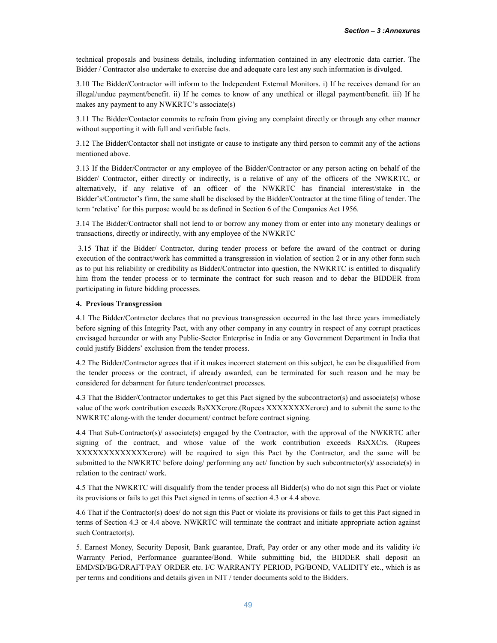technical proposals and business details, including information contained in any electronic data carrier. The Bidder / Contractor also undertake to exercise due and adequate care lest any such information is divulged.

3.10 The Bidder/Contractor will inform to the Independent External Monitors. i) If he receives demand for an illegal/undue payment/benefit. ii) If he comes to know of any unethical or illegal payment/benefit. iii) If he makes any payment to any NWKRTC's associate(s)

3.11 The Bidder/Contactor commits to refrain from giving any complaint directly or through any other manner without supporting it with full and verifiable facts.

3.12 The Bidder/Contactor shall not instigate or cause to instigate any third person to commit any of the actions mentioned above.

3.13 If the Bidder/Contractor or any employee of the Bidder/Contractor or any person acting on behalf of the Bidder/ Contractor, either directly or indirectly, is a relative of any of the officers of the NWKRTC, or alternatively, if any relative of an officer of the NWKRTC has financial interest/stake in the Bidder's/Contractor's firm, the same shall be disclosed by the Bidder/Contractor at the time filing of tender. The term 'relative' for this purpose would be as defined in Section 6 of the Companies Act 1956.

3.14 The Bidder/Contractor shall not lend to or borrow any money from or enter into any monetary dealings or transactions, directly or indirectly, with any employee of the NWKRTC

3.15 That if the Bidder/ Contractor, during tender process or before the award of the contract or during execution of the contract/work has committed a transgression in violation of section 2 or in any other form such as to put his reliability or credibility as Bidder/Contractor into question, the NWKRTC is entitled to disqualify him from the tender process or to terminate the contract for such reason and to debar the BIDDER from participating in future bidding processes.

### 4. Previous Transgression

4.1 The Bidder/Contractor declares that no previous transgression occurred in the last three years immediately before signing of this Integrity Pact, with any other company in any country in respect of any corrupt practices envisaged hereunder or with any Public-Sector Enterprise in India or any Government Department in India that could justify Bidders' exclusion from the tender process.

4.2 The Bidder/Contractor agrees that if it makes incorrect statement on this subject, he can be disqualified from the tender process or the contract, if already awarded, can be terminated for such reason and he may be considered for debarment for future tender/contract processes.

4.3 That the Bidder/Contractor undertakes to get this Pact signed by the subcontractor(s) and associate(s) whose value of the work contribution exceeds RsXXXcrore.(Rupees XXXXXXXXcrore) and to submit the same to the NWKRTC along-with the tender document/ contract before contract signing.

4.4 That Sub-Contractor(s)/ associate(s) engaged by the Contractor, with the approval of the NWKRTC after signing of the contract, and whose value of the work contribution exceeds RsXXCrs. (Rupees XXXXXXXXXXXXXcrore) will be required to sign this Pact by the Contractor, and the same will be submitted to the NWKRTC before doing/ performing any act/ function by such subcontractor(s)/ associate(s) in relation to the contract/ work.

4.5 That the NWKRTC will disqualify from the tender process all Bidder(s) who do not sign this Pact or violate its provisions or fails to get this Pact signed in terms of section 4.3 or 4.4 above.

4.6 That if the Contractor(s) does/ do not sign this Pact or violate its provisions or fails to get this Pact signed in terms of Section 4.3 or 4.4 above. NWKRTC will terminate the contract and initiate appropriate action against such Contractor(s).

5. Earnest Money, Security Deposit, Bank guarantee, Draft, Pay order or any other mode and its validity i/c Warranty Period, Performance guarantee/Bond. While submitting bid, the BIDDER shall deposit an EMD/SD/BG/DRAFT/PAY ORDER etc. I/C WARRANTY PERIOD, PG/BOND, VALIDITY etc., which is as per terms and conditions and details given in NIT / tender documents sold to the Bidders.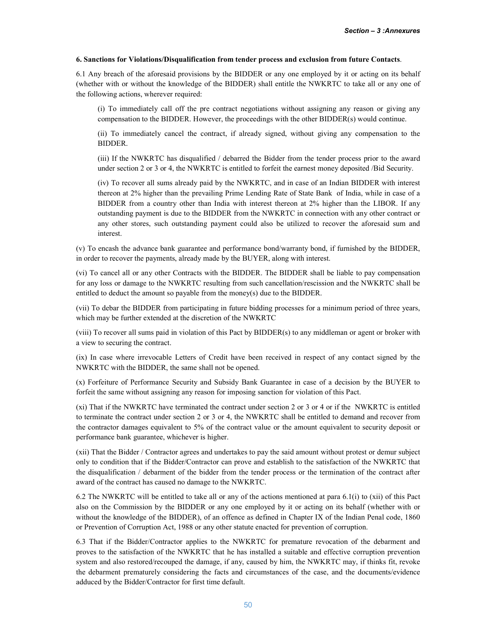### 6. Sanctions for Violations/Disqualification from tender process and exclusion from future Contacts.

6.1 Any breach of the aforesaid provisions by the BIDDER or any one employed by it or acting on its behalf (whether with or without the knowledge of the BIDDER) shall entitle the NWKRTC to take all or any one of the following actions, wherever required:

(i) To immediately call off the pre contract negotiations without assigning any reason or giving any compensation to the BIDDER. However, the proceedings with the other BIDDER(s) would continue.

(ii) To immediately cancel the contract, if already signed, without giving any compensation to the BIDDER.

(iii) If the NWKRTC has disqualified / debarred the Bidder from the tender process prior to the award under section 2 or 3 or 4, the NWKRTC is entitled to forfeit the earnest money deposited /Bid Security.

(iv) To recover all sums already paid by the NWKRTC, and in case of an Indian BIDDER with interest thereon at 2% higher than the prevailing Prime Lending Rate of State Bank of India, while in case of a BIDDER from a country other than India with interest thereon at 2% higher than the LIBOR. If any outstanding payment is due to the BIDDER from the NWKRTC in connection with any other contract or any other stores, such outstanding payment could also be utilized to recover the aforesaid sum and interest.

(v) To encash the advance bank guarantee and performance bond/warranty bond, if furnished by the BIDDER, in order to recover the payments, already made by the BUYER, along with interest.

(vi) To cancel all or any other Contracts with the BIDDER. The BIDDER shall be liable to pay compensation for any loss or damage to the NWKRTC resulting from such cancellation/rescission and the NWKRTC shall be entitled to deduct the amount so payable from the money(s) due to the BIDDER.

(vii) To debar the BIDDER from participating in future bidding processes for a minimum period of three years, which may be further extended at the discretion of the NWKRTC

(viii) To recover all sums paid in violation of this Pact by BIDDER(s) to any middleman or agent or broker with a view to securing the contract.

(ix) In case where irrevocable Letters of Credit have been received in respect of any contact signed by the NWKRTC with the BIDDER, the same shall not be opened.

(x) Forfeiture of Performance Security and Subsidy Bank Guarantee in case of a decision by the BUYER to forfeit the same without assigning any reason for imposing sanction for violation of this Pact.

(xi) That if the NWKRTC have terminated the contract under section 2 or 3 or 4 or if the NWKRTC is entitled to terminate the contract under section 2 or 3 or 4, the NWKRTC shall be entitled to demand and recover from the contractor damages equivalent to 5% of the contract value or the amount equivalent to security deposit or performance bank guarantee, whichever is higher.

(xii) That the Bidder / Contractor agrees and undertakes to pay the said amount without protest or demur subject only to condition that if the Bidder/Contractor can prove and establish to the satisfaction of the NWKRTC that the disqualification / debarment of the bidder from the tender process or the termination of the contract after award of the contract has caused no damage to the NWKRTC.

6.2 The NWKRTC will be entitled to take all or any of the actions mentioned at para 6.1(i) to (xii) of this Pact also on the Commission by the BIDDER or any one employed by it or acting on its behalf (whether with or without the knowledge of the BIDDER), of an offence as defined in Chapter IX of the Indian Penal code, 1860 or Prevention of Corruption Act, 1988 or any other statute enacted for prevention of corruption.

6.3 That if the Bidder/Contractor applies to the NWKRTC for premature revocation of the debarment and proves to the satisfaction of the NWKRTC that he has installed a suitable and effective corruption prevention system and also restored/recouped the damage, if any, caused by him, the NWKRTC may, if thinks fit, revoke the debarment prematurely considering the facts and circumstances of the case, and the documents/evidence adduced by the Bidder/Contractor for first time default.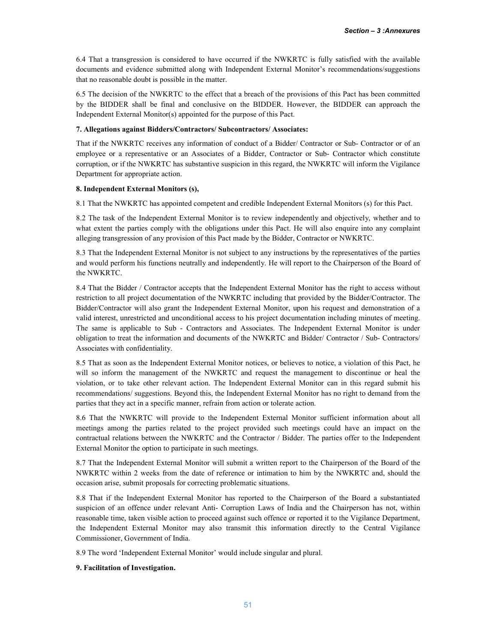6.4 That a transgression is considered to have occurred if the NWKRTC is fully satisfied with the available documents and evidence submitted along with Independent External Monitor's recommendations/suggestions that no reasonable doubt is possible in the matter.

6.5 The decision of the NWKRTC to the effect that a breach of the provisions of this Pact has been committed by the BIDDER shall be final and conclusive on the BIDDER. However, the BIDDER can approach the Independent External Monitor(s) appointed for the purpose of this Pact.

### 7. Allegations against Bidders/Contractors/ Subcontractors/ Associates:

That if the NWKRTC receives any information of conduct of a Bidder/ Contractor or Sub- Contractor or of an employee or a representative or an Associates of a Bidder, Contractor or Sub- Contractor which constitute corruption, or if the NWKRTC has substantive suspicion in this regard, the NWKRTC will inform the Vigilance Department for appropriate action.

### 8. Independent External Monitors (s),

8.1 That the NWKRTC has appointed competent and credible Independent External Monitors (s) for this Pact.

8.2 The task of the Independent External Monitor is to review independently and objectively, whether and to what extent the parties comply with the obligations under this Pact. He will also enquire into any complaint alleging transgression of any provision of this Pact made by the Bidder, Contractor or NWKRTC.

8.3 That the Independent External Monitor is not subject to any instructions by the representatives of the parties and would perform his functions neutrally and independently. He will report to the Chairperson of the Board of the NWKRTC.

8.4 That the Bidder / Contractor accepts that the Independent External Monitor has the right to access without restriction to all project documentation of the NWKRTC including that provided by the Bidder/Contractor. The Bidder/Contractor will also grant the Independent External Monitor, upon his request and demonstration of a valid interest, unrestricted and unconditional access to his project documentation including minutes of meeting. The same is applicable to Sub - Contractors and Associates. The Independent External Monitor is under obligation to treat the information and documents of the NWKRTC and Bidder/ Contractor / Sub- Contractors/ Associates with confidentiality.

8.5 That as soon as the Independent External Monitor notices, or believes to notice, a violation of this Pact, he will so inform the management of the NWKRTC and request the management to discontinue or heal the violation, or to take other relevant action. The Independent External Monitor can in this regard submit his recommendations/ suggestions. Beyond this, the Independent External Monitor has no right to demand from the parties that they act in a specific manner, refrain from action or tolerate action.

8.6 That the NWKRTC will provide to the Independent External Monitor sufficient information about all meetings among the parties related to the project provided such meetings could have an impact on the contractual relations between the NWKRTC and the Contractor / Bidder. The parties offer to the Independent External Monitor the option to participate in such meetings.

8.7 That the Independent External Monitor will submit a written report to the Chairperson of the Board of the NWKRTC within 2 weeks from the date of reference or intimation to him by the NWKRTC and, should the occasion arise, submit proposals for correcting problematic situations.

8.8 That if the Independent External Monitor has reported to the Chairperson of the Board a substantiated suspicion of an offence under relevant Anti- Corruption Laws of India and the Chairperson has not, within reasonable time, taken visible action to proceed against such offence or reported it to the Vigilance Department, the Independent External Monitor may also transmit this information directly to the Central Vigilance Commissioner, Government of India.

8.9 The word 'Independent External Monitor' would include singular and plural.

### 9. Facilitation of Investigation.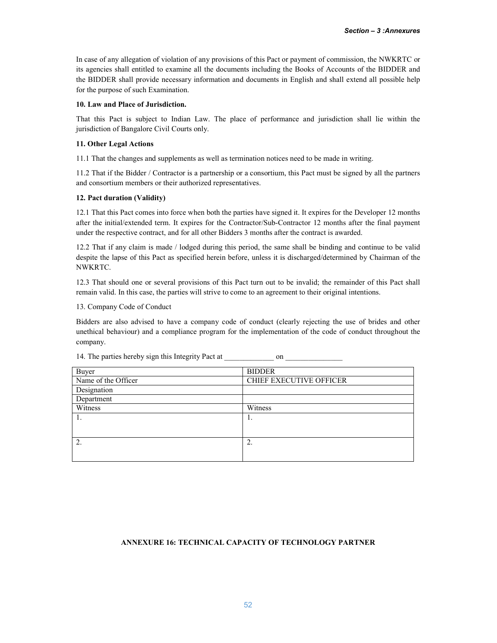In case of any allegation of violation of any provisions of this Pact or payment of commission, the NWKRTC or its agencies shall entitled to examine all the documents including the Books of Accounts of the BIDDER and the BIDDER shall provide necessary information and documents in English and shall extend all possible help for the purpose of such Examination.

### 10. Law and Place of Jurisdiction.

That this Pact is subject to Indian Law. The place of performance and jurisdiction shall lie within the jurisdiction of Bangalore Civil Courts only.

### 11. Other Legal Actions

11.1 That the changes and supplements as well as termination notices need to be made in writing.

11.2 That if the Bidder / Contractor is a partnership or a consortium, this Pact must be signed by all the partners and consortium members or their authorized representatives.

### 12. Pact duration (Validity)

12.1 That this Pact comes into force when both the parties have signed it. It expires for the Developer 12 months after the initial/extended term. It expires for the Contractor/Sub-Contractor 12 months after the final payment under the respective contract, and for all other Bidders 3 months after the contract is awarded.

12.2 That if any claim is made / lodged during this period, the same shall be binding and continue to be valid despite the lapse of this Pact as specified herein before, unless it is discharged/determined by Chairman of the NWKRTC.

12.3 That should one or several provisions of this Pact turn out to be invalid; the remainder of this Pact shall remain valid. In this case, the parties will strive to come to an agreement to their original intentions.

13. Company Code of Conduct

Bidders are also advised to have a company code of conduct (clearly rejecting the use of brides and other unethical behaviour) and a compliance program for the implementation of the code of conduct throughout the company.

| Buyer               | <b>BIDDER</b>                  |
|---------------------|--------------------------------|
| Name of the Officer | <b>CHIEF EXECUTIVE OFFICER</b> |
| Designation         |                                |
| Department          |                                |
| Witness             | Witness                        |
| 1.                  | .,                             |
|                     |                                |
|                     |                                |
| 2.                  | ∍<br>Ζ.                        |
|                     |                                |

14. The parties hereby sign this Integrity Pact at \_\_\_\_\_\_\_\_\_\_\_\_\_\_\_\_\_\_\_ on \_\_\_\_\_\_\_

# ANNEXURE 16: TECHNICAL CAPACITY OF TECHNOLOGY PARTNER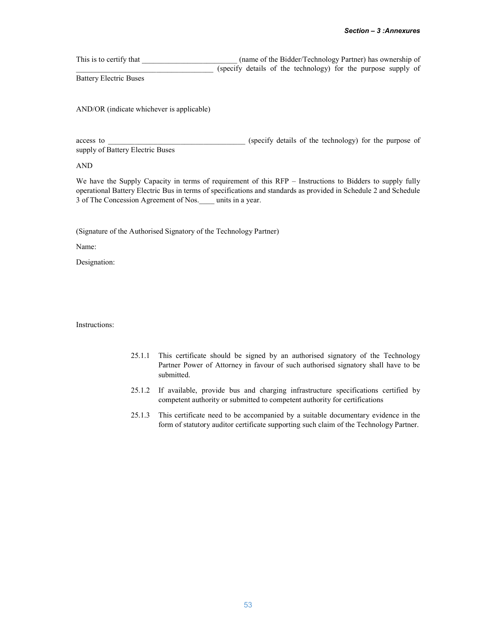This is to certify that \_\_\_\_\_\_\_\_\_\_\_\_\_\_\_\_\_\_\_\_\_\_\_\_\_\_\_\_ (name of the Bidder/Technology Partner) has ownership of \_\_\_\_\_\_\_\_\_\_\_\_\_\_\_\_\_\_\_\_\_\_\_\_\_\_\_\_\_\_\_\_\_\_\_\_ (specify details of the technology) for the purpose supply of Battery Electric Buses

AND/OR (indicate whichever is applicable)

access to  $($ specify details of the technology) for the purpose of supply of Battery Electric Buses

AND

We have the Supply Capacity in terms of requirement of this RFP – Instructions to Bidders to supply fully operational Battery Electric Bus in terms of specifications and standards as provided in Schedule 2 and Schedule 3 of The Concession Agreement of Nos.\_\_\_\_ units in a year.

(Signature of the Authorised Signatory of the Technology Partner)

Name:

Designation:

Instructions:

- 25.1.1 This certificate should be signed by an authorised signatory of the Technology Partner Power of Attorney in favour of such authorised signatory shall have to be submitted.
- 25.1.2 If available, provide bus and charging infrastructure specifications certified by competent authority or submitted to competent authority for certifications
- 25.1.3 This certificate need to be accompanied by a suitable documentary evidence in the form of statutory auditor certificate supporting such claim of the Technology Partner.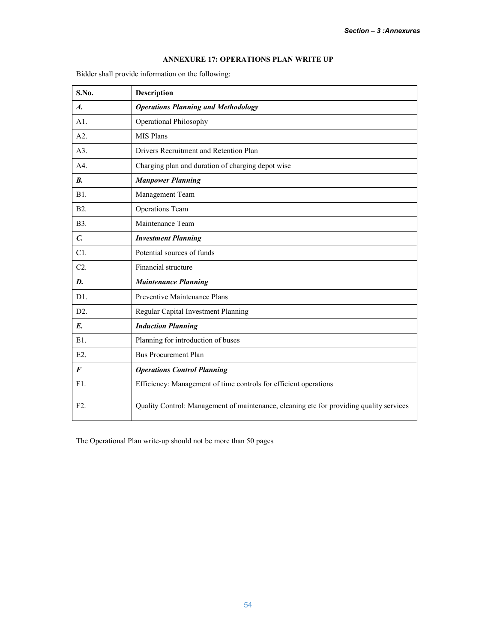# ANNEXURE 17: OPERATIONS PLAN WRITE UP

Bidder shall provide information on the following:

| S.No.              | Description                                                                             |
|--------------------|-----------------------------------------------------------------------------------------|
| $\boldsymbol{A}$ . | <b>Operations Planning and Methodology</b>                                              |
| A1.                | Operational Philosophy                                                                  |
| A2.                | MIS Plans                                                                               |
| A3.                | Drivers Recruitment and Retention Plan                                                  |
| A4.                | Charging plan and duration of charging depot wise                                       |
| <b>B.</b>          | <b>Manpower Planning</b>                                                                |
| B1.                | Management Team                                                                         |
| <b>B2.</b>         | <b>Operations Team</b>                                                                  |
| <b>B</b> 3.        | Maintenance Team                                                                        |
| $\mathcal{C}$ .    | <b>Investment Planning</b>                                                              |
| C1.                | Potential sources of funds                                                              |
| $C2$ .             | Financial structure                                                                     |
| D.                 | <b>Maintenance Planning</b>                                                             |
| D1.                | Preventive Maintenance Plans                                                            |
| D2.                | Regular Capital Investment Planning                                                     |
| $E$ .              | <b>Induction Planning</b>                                                               |
| E1.                | Planning for introduction of buses                                                      |
| E2.                | <b>Bus Procurement Plan</b>                                                             |
| $\bm{F}$           | <b>Operations Control Planning</b>                                                      |
| F1.                | Efficiency: Management of time controls for efficient operations                        |
| F2.                | Quality Control: Management of maintenance, cleaning etc for providing quality services |

The Operational Plan write-up should not be more than 50 pages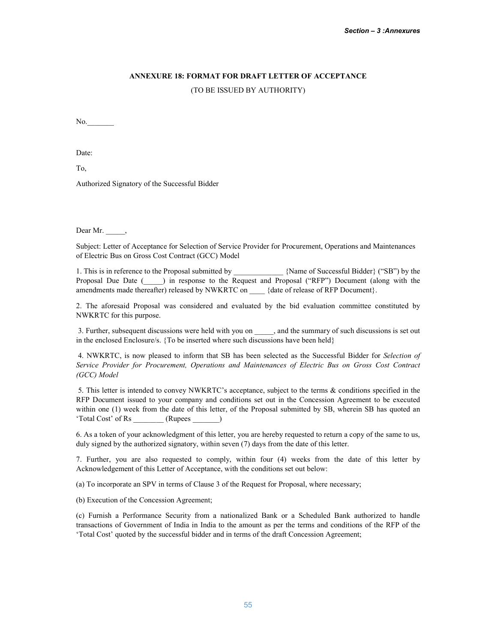# ANNEXURE 18: FORMAT FOR DRAFT LETTER OF ACCEPTANCE

(TO BE ISSUED BY AUTHORITY)

No.

Date:

To,

Authorized Signatory of the Successful Bidder

Dear Mr.  $\frac{1}{\sqrt{2}}$ ,

Subject: Letter of Acceptance for Selection of Service Provider for Procurement, Operations and Maintenances of Electric Bus on Gross Cost Contract (GCC) Model

1. This is in reference to the Proposal submitted by  $\Box$  {Name of Successful Bidder} ("SB") by the Proposal Due Date (<sup>124</sup>) in response to the Request and Proposal ("RFP") Document (along with the amendments made thereafter) released by NWKRTC on \_\_\_\_ {date of release of RFP Document}.

2. The aforesaid Proposal was considered and evaluated by the bid evaluation committee constituted by NWKRTC for this purpose.

3. Further, subsequent discussions were held with you on \_\_\_\_\_, and the summary of such discussions is set out in the enclosed Enclosure/s. {To be inserted where such discussions have been held}

4. NWKRTC, is now pleased to inform that SB has been selected as the Successful Bidder for *Selection of Service Provider for Procurement, Operations and Maintenances of Electric Bus on Gross Cost Contract (GCC) Model*

5. This letter is intended to convey NWKRTC's acceptance, subject to the terms & conditions specified in the RFP Document issued to your company and conditions set out in the Concession Agreement to be executed within one (1) week from the date of this letter, of the Proposal submitted by SB, wherein SB has quoted an 'Total Cost' of Rs \_\_\_\_\_\_\_\_ (Rupees \_\_\_\_\_\_\_)

6. As a token of your acknowledgment of this letter, you are hereby requested to return a copy of the same to us, duly signed by the authorized signatory, within seven (7) days from the date of this letter.

7. Further, you are also requested to comply, within four (4) weeks from the date of this letter by Acknowledgement of this Letter of Acceptance, with the conditions set out below:

(a) To incorporate an SPV in terms of Clause 3 of the Request for Proposal, where necessary;

(b) Execution of the Concession Agreement;

(c) Furnish a Performance Security from a nationalized Bank or a Scheduled Bank authorized to handle transactions of Government of India in India to the amount as per the terms and conditions of the RFP of the 'Total Cost' quoted by the successful bidder and in terms of the draft Concession Agreement;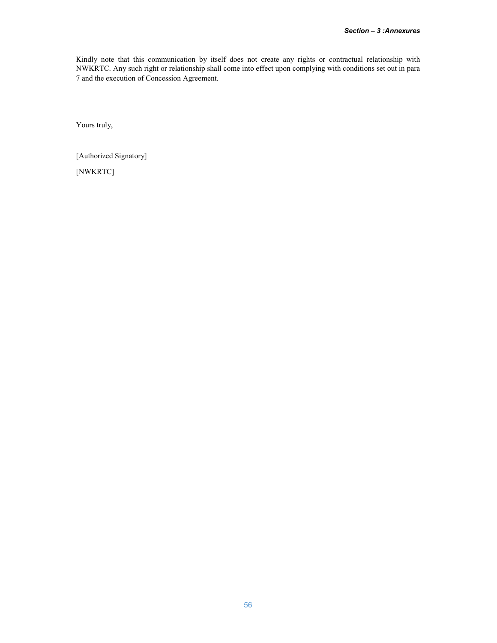Kindly note that this communication by itself does not create any rights or contractual relationship with NWKRTC. Any such right or relationship shall come into effect upon complying with conditions set out in para 7 and the execution of Concession Agreement.

Yours truly,

[Authorized Signatory] [NWKRTC]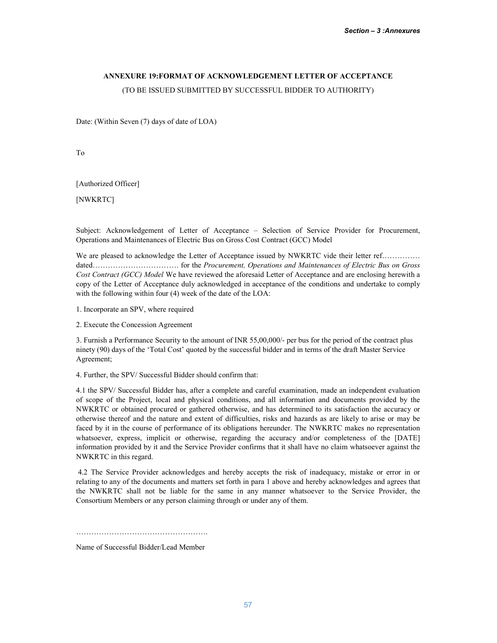# ANNEXURE 19:FORMAT OF ACKNOWLEDGEMENT LETTER OF ACCEPTANCE

(TO BE ISSUED SUBMITTED BY SUCCESSFUL BIDDER TO AUTHORITY)

Date: (Within Seven (7) days of date of LOA)

To

[Authorized Officer]

[NWKRTC]

Subject: Acknowledgement of Letter of Acceptance – Selection of Service Provider for Procurement, Operations and Maintenances of Electric Bus on Gross Cost Contract (GCC) Model

We are pleased to acknowledge the Letter of Acceptance issued by NWKRTC vide their letter ref…………… dated……………………………. for the *Procurement, Operations and Maintenances of Electric Bus on Gross Cost Contract (GCC) Model* We have reviewed the aforesaid Letter of Acceptance and are enclosing herewith a copy of the Letter of Acceptance duly acknowledged in acceptance of the conditions and undertake to comply with the following within four (4) week of the date of the LOA:

1. Incorporate an SPV, where required

2. Execute the Concession Agreement

3. Furnish a Performance Security to the amount of INR 55,00,000/- per bus for the period of the contract plus ninety (90) days of the 'Total Cost' quoted by the successful bidder and in terms of the draft Master Service Agreement;

4. Further, the SPV/ Successful Bidder should confirm that:

4.1 the SPV/ Successful Bidder has, after a complete and careful examination, made an independent evaluation of scope of the Project, local and physical conditions, and all information and documents provided by the NWKRTC or obtained procured or gathered otherwise, and has determined to its satisfaction the accuracy or otherwise thereof and the nature and extent of difficulties, risks and hazards as are likely to arise or may be faced by it in the course of performance of its obligations hereunder. The NWKRTC makes no representation whatsoever, express, implicit or otherwise, regarding the accuracy and/or completeness of the [DATE] information provided by it and the Service Provider confirms that it shall have no claim whatsoever against the NWKRTC in this regard.

4.2 The Service Provider acknowledges and hereby accepts the risk of inadequacy, mistake or error in or relating to any of the documents and matters set forth in para 1 above and hereby acknowledges and agrees that the NWKRTC shall not be liable for the same in any manner whatsoever to the Service Provider, the Consortium Members or any person claiming through or under any of them.

…………………………………………….

Name of Successful Bidder/Lead Member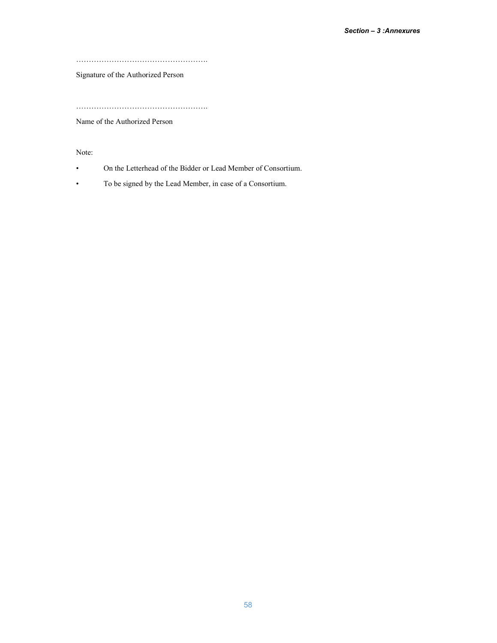…………………………………………….

Signature of the Authorized Person

…………………………………………….

Name of the Authorized Person

Note:

- On the Letterhead of the Bidder or Lead Member of Consortium.
- To be signed by the Lead Member, in case of a Consortium.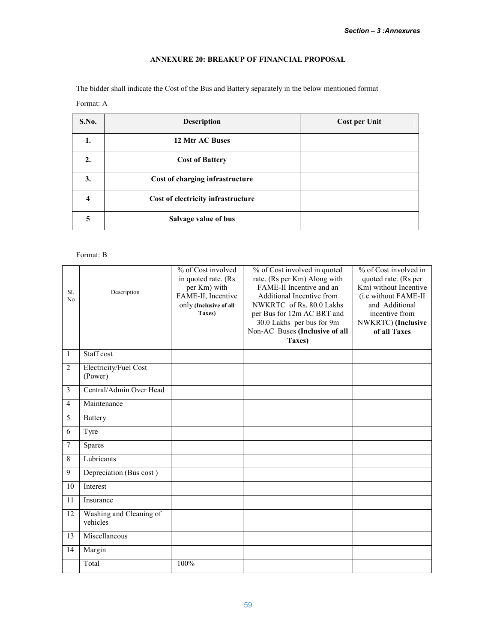# ANNEXURE 20: BREAKUP OF FINANCIAL PROPOSAL

The bidder shall indicate the Cost of the Bus and Battery separately in the below mentioned format

Format: A

| S.No.            | <b>Description</b>                 | <b>Cost per Unit</b> |
|------------------|------------------------------------|----------------------|
| 1.               | 12 Mtr AC Buses                    |                      |
| $\overline{2}$ . | <b>Cost of Battery</b>             |                      |
| 3.               | Cost of charging infrastructure    |                      |
| 4                | Cost of electricity infrastructure |                      |
| 5                | Salvage value of bus               |                      |

# Format: B

| Sl.<br>No      | Description                         | % of Cost involved<br>in quoted rate. (Rs<br>per Km) with<br>FAME-II, Incentive<br>only (Inclusive of all<br>Taxes) | % of Cost involved in quoted<br>rate. (Rs per Km) Along with<br>FAME-II Incentive and an<br>Additional Incentive from<br>NWKRTC of Rs. 80.0 Lakhs<br>per Bus for 12m AC BRT and<br>30.0 Lakhs per bus for 9m<br>Non-AC Buses (Inclusive of all<br>Taxes) | % of Cost involved in<br>quoted rate. (Rs per<br>Km) without Incentive<br>(i.e without FAME-II<br>and Additional<br>incentive from<br>NWKRTC) (Inclusive<br>of all Taxes |
|----------------|-------------------------------------|---------------------------------------------------------------------------------------------------------------------|----------------------------------------------------------------------------------------------------------------------------------------------------------------------------------------------------------------------------------------------------------|--------------------------------------------------------------------------------------------------------------------------------------------------------------------------|
| $\mathbf{1}$   | Staff cost                          |                                                                                                                     |                                                                                                                                                                                                                                                          |                                                                                                                                                                          |
| $\overline{2}$ | Electricity/Fuel Cost<br>(Power)    |                                                                                                                     |                                                                                                                                                                                                                                                          |                                                                                                                                                                          |
| 3              | Central/Admin Over Head             |                                                                                                                     |                                                                                                                                                                                                                                                          |                                                                                                                                                                          |
| $\overline{4}$ | Maintenance                         |                                                                                                                     |                                                                                                                                                                                                                                                          |                                                                                                                                                                          |
| 5              | <b>Battery</b>                      |                                                                                                                     |                                                                                                                                                                                                                                                          |                                                                                                                                                                          |
| 6              | Tyre                                |                                                                                                                     |                                                                                                                                                                                                                                                          |                                                                                                                                                                          |
| $\overline{7}$ | <b>Spares</b>                       |                                                                                                                     |                                                                                                                                                                                                                                                          |                                                                                                                                                                          |
| 8              | Lubricants                          |                                                                                                                     |                                                                                                                                                                                                                                                          |                                                                                                                                                                          |
| 9              | Depreciation (Bus cost)             |                                                                                                                     |                                                                                                                                                                                                                                                          |                                                                                                                                                                          |
| 10             | Interest                            |                                                                                                                     |                                                                                                                                                                                                                                                          |                                                                                                                                                                          |
| 11             | Insurance                           |                                                                                                                     |                                                                                                                                                                                                                                                          |                                                                                                                                                                          |
| 12             | Washing and Cleaning of<br>vehicles |                                                                                                                     |                                                                                                                                                                                                                                                          |                                                                                                                                                                          |
| 13             | Miscellaneous                       |                                                                                                                     |                                                                                                                                                                                                                                                          |                                                                                                                                                                          |
| 14             | Margin                              |                                                                                                                     |                                                                                                                                                                                                                                                          |                                                                                                                                                                          |
|                | Total                               | 100%                                                                                                                |                                                                                                                                                                                                                                                          |                                                                                                                                                                          |